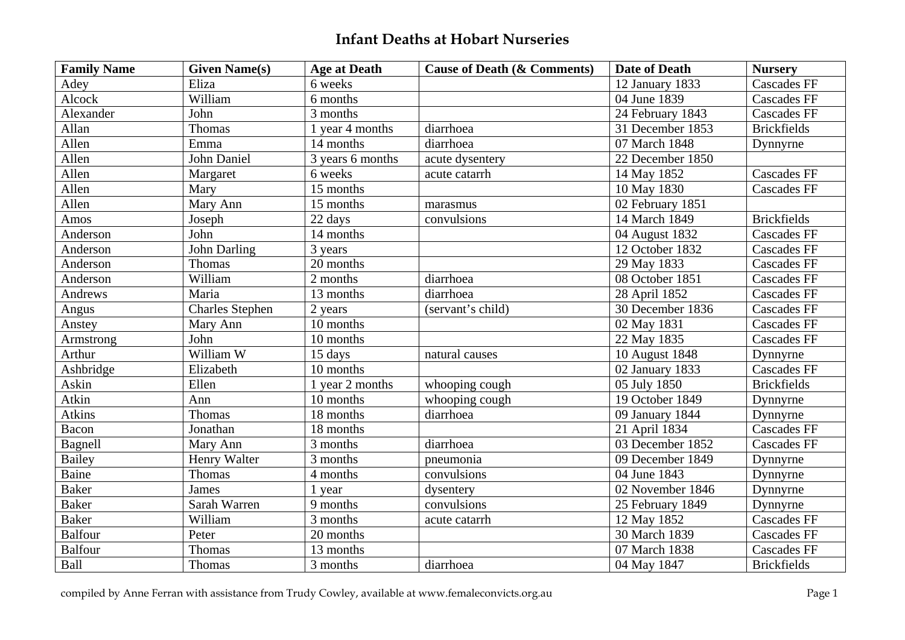| <b>Family Name</b> | <b>Given Name(s)</b>   | <b>Age at Death</b> | <b>Cause of Death (&amp; Comments)</b> | <b>Date of Death</b> | <b>Nursery</b>     |
|--------------------|------------------------|---------------------|----------------------------------------|----------------------|--------------------|
| Adey               | Eliza                  | 6 weeks             |                                        | 12 January 1833      | <b>Cascades FF</b> |
| Alcock             | William                | 6 months            |                                        | 04 June 1839         | <b>Cascades FF</b> |
| Alexander          | John                   | 3 months            |                                        | 24 February 1843     | <b>Cascades FF</b> |
| Allan              | Thomas                 | 1 year 4 months     | diarrhoea                              | 31 December 1853     | <b>Brickfields</b> |
| Allen              | Emma                   | 14 months           | diarrhoea                              | 07 March 1848        | Dynnyrne           |
| Allen              | John Daniel            | 3 years 6 months    | acute dysentery                        | 22 December 1850     |                    |
| Allen              | Margaret               | 6 weeks             | acute catarrh                          | 14 May 1852          | <b>Cascades FF</b> |
| Allen              | Mary                   | 15 months           |                                        | 10 May 1830          | <b>Cascades FF</b> |
| Allen              | Mary Ann               | 15 months           | marasmus                               | 02 February 1851     |                    |
| Amos               | Joseph                 | 22 days             | convulsions                            | 14 March 1849        | <b>Brickfields</b> |
| Anderson           | John                   | 14 months           |                                        | 04 August 1832       | <b>Cascades FF</b> |
| Anderson           | John Darling           | 3 years             |                                        | 12 October 1832      | <b>Cascades FF</b> |
| Anderson           | Thomas                 | 20 months           |                                        | 29 May 1833          | <b>Cascades FF</b> |
| Anderson           | William                | 2 months            | diarrhoea                              | 08 October 1851      | <b>Cascades FF</b> |
| Andrews            | Maria                  | 13 months           | diarrhoea                              | 28 April 1852        | <b>Cascades FF</b> |
| Angus              | <b>Charles Stephen</b> | 2 years             | (servant's child)                      | 30 December 1836     | <b>Cascades FF</b> |
| Anstey             | Mary Ann               | 10 months           |                                        | 02 May 1831          | <b>Cascades FF</b> |
| Armstrong          | John                   | 10 months           |                                        | 22 May 1835          | <b>Cascades FF</b> |
| Arthur             | William W              | 15 days             | natural causes                         | 10 August 1848       | Dynnyrne           |
| Ashbridge          | Elizabeth              | 10 months           |                                        | 02 January 1833      | <b>Cascades FF</b> |
| Askin              | Ellen                  | 1 year 2 months     | whooping cough                         | 05 July 1850         | <b>Brickfields</b> |
| Atkin              | Ann                    | 10 months           | whooping cough                         | 19 October 1849      | Dynnyrne           |
| <b>Atkins</b>      | Thomas                 | 18 months           | diarrhoea                              | 09 January 1844      | Dynnyrne           |
| Bacon              | Jonathan               | 18 months           |                                        | 21 April 1834        | <b>Cascades FF</b> |
| Bagnell            | Mary Ann               | 3 months            | diarrhoea                              | 03 December 1852     | <b>Cascades FF</b> |
| Bailey             | Henry Walter           | 3 months            | pneumonia                              | 09 December 1849     | Dynnyrne           |
| Baine              | Thomas                 | 4 months            | convulsions                            | 04 June 1843         | Dynnyrne           |
| <b>Baker</b>       | James                  | 1 year              | dysentery                              | 02 November 1846     | Dynnyrne           |
| <b>Baker</b>       | Sarah Warren           | 9 months            | convulsions                            | 25 February 1849     | Dynnyrne           |
| <b>Baker</b>       | William                | 3 months            | acute catarrh                          | 12 May 1852          | <b>Cascades FF</b> |
| <b>Balfour</b>     | Peter                  | 20 months           |                                        | 30 March 1839        | <b>Cascades FF</b> |
| <b>Balfour</b>     | Thomas                 | 13 months           |                                        | 07 March 1838        | <b>Cascades FF</b> |
| Ball               | Thomas                 | 3 months            | diarrhoea                              | 04 May 1847          | <b>Brickfields</b> |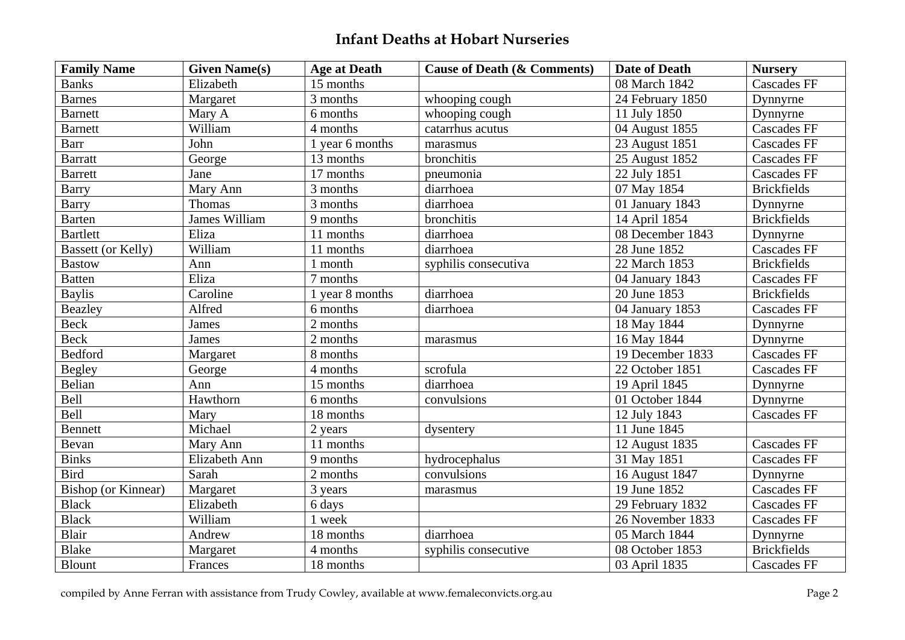| <b>Family Name</b>         | <b>Given Name(s)</b> | <b>Age at Death</b> | <b>Cause of Death (&amp; Comments)</b> | <b>Date of Death</b> | <b>Nursery</b>     |
|----------------------------|----------------------|---------------------|----------------------------------------|----------------------|--------------------|
| <b>Banks</b>               | Elizabeth            | 15 months           |                                        | 08 March 1842        | <b>Cascades FF</b> |
| <b>Barnes</b>              | Margaret             | 3 months            | whooping cough                         | 24 February 1850     | Dynnyrne           |
| <b>Barnett</b>             | Mary A               | 6 months            | whooping cough                         | 11 July 1850         | Dynnyrne           |
| <b>Barnett</b>             | William              | 4 months            | catarrhus acutus                       | 04 August 1855       | <b>Cascades FF</b> |
| <b>Barr</b>                | John                 | 1 year 6 months     | marasmus                               | 23 August 1851       | <b>Cascades FF</b> |
| <b>Barratt</b>             | George               | 13 months           | bronchitis                             | 25 August 1852       | <b>Cascades FF</b> |
| <b>Barrett</b>             | Jane                 | 17 months           | pneumonia                              | 22 July 1851         | <b>Cascades FF</b> |
| <b>Barry</b>               | Mary Ann             | 3 months            | diarrhoea                              | 07 May 1854          | <b>Brickfields</b> |
| <b>Barry</b>               | Thomas               | 3 months            | diarrhoea                              | 01 January 1843      | Dynnyrne           |
| <b>Barten</b>              | <b>James William</b> | 9 months            | bronchitis                             | 14 April 1854        | <b>Brickfields</b> |
| <b>Bartlett</b>            | Eliza                | 11 months           | diarrhoea                              | 08 December 1843     | Dynnyrne           |
| <b>Bassett (or Kelly)</b>  | William              | 11 months           | diarrhoea                              | 28 June 1852         | <b>Cascades FF</b> |
| <b>Bastow</b>              | Ann                  | 1 month             | syphilis consecutiva                   | 22 March 1853        | <b>Brickfields</b> |
| <b>Batten</b>              | Eliza                | 7 months            |                                        | 04 January 1843      | <b>Cascades FF</b> |
| <b>Baylis</b>              | Caroline             | 1 year 8 months     | diarrhoea                              | 20 June 1853         | <b>Brickfields</b> |
| <b>Beazley</b>             | Alfred               | 6 months            | diarrhoea                              | 04 January 1853      | <b>Cascades FF</b> |
| <b>Beck</b>                | James                | 2 months            |                                        | 18 May 1844          | Dynnyrne           |
| <b>Beck</b>                | James                | 2 months            | marasmus                               | 16 May 1844          | Dynnyrne           |
| <b>Bedford</b>             | Margaret             | 8 months            |                                        | 19 December 1833     | <b>Cascades FF</b> |
| <b>Begley</b>              | George               | 4 months            | scrofula                               | 22 October 1851      | <b>Cascades FF</b> |
| Belian                     | Ann                  | 15 months           | diarrhoea                              | 19 April 1845        | Dynnyrne           |
| Bell                       | Hawthorn             | 6 months            | convulsions                            | 01 October 1844      | Dynnyrne           |
| Bell                       | Mary                 | 18 months           |                                        | 12 July 1843         | <b>Cascades FF</b> |
| <b>Bennett</b>             | Michael              | 2 years             | dysentery                              | 11 June 1845         |                    |
| Bevan                      | Mary Ann             | 11 months           |                                        | 12 August 1835       | <b>Cascades FF</b> |
| <b>Binks</b>               | Elizabeth Ann        | 9 months            | hydrocephalus                          | 31 May 1851          | <b>Cascades FF</b> |
| <b>Bird</b>                | Sarah                | 2 months            | convulsions                            | 16 August 1847       | Dynnyrne           |
| <b>Bishop</b> (or Kinnear) | Margaret             | 3 years             | marasmus                               | 19 June 1852         | <b>Cascades FF</b> |
| <b>Black</b>               | Elizabeth            | 6 days              |                                        | 29 February 1832     | <b>Cascades FF</b> |
| <b>Black</b>               | William              | 1 week              |                                        | 26 November 1833     | <b>Cascades FF</b> |
| Blair                      | Andrew               | 18 months           | diarrhoea                              | 05 March 1844        | Dynnyrne           |
| <b>Blake</b>               | Margaret             | 4 months            | syphilis consecutive                   | 08 October 1853      | <b>Brickfields</b> |
| <b>Blount</b>              | Frances              | 18 months           |                                        | 03 April 1835        | <b>Cascades FF</b> |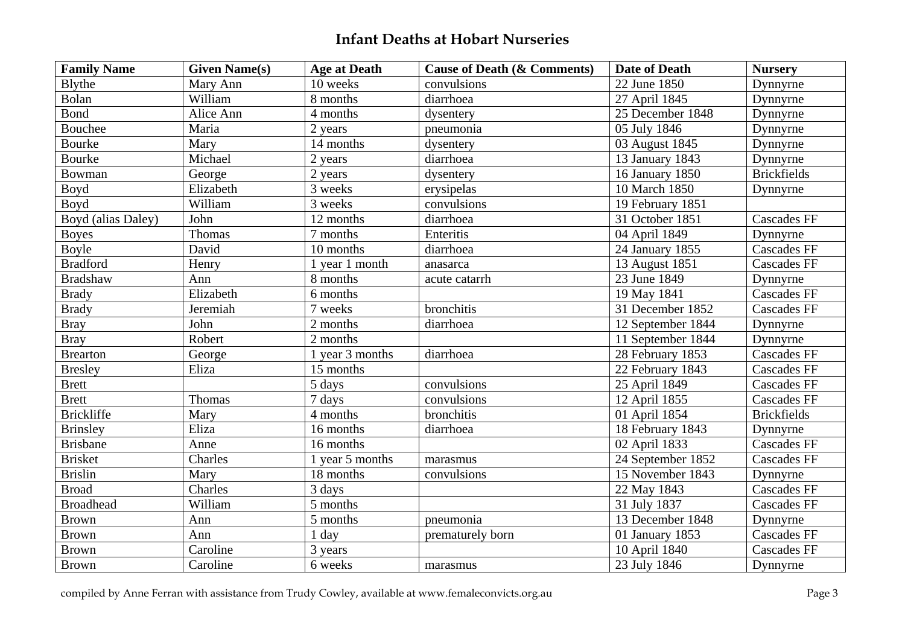| <b>Family Name</b> | <b>Given Name(s)</b> | <b>Age at Death</b> | <b>Cause of Death (&amp; Comments)</b> | <b>Date of Death</b> | <b>Nursery</b>     |
|--------------------|----------------------|---------------------|----------------------------------------|----------------------|--------------------|
| Blythe             | Mary Ann             | 10 weeks            | convulsions                            | 22 June 1850         | Dynnyrne           |
| Bolan              | William              | 8 months            | diarrhoea                              | 27 April 1845        | Dynnyrne           |
| Bond               | Alice Ann            | 4 months            | dysentery                              | 25 December 1848     | Dynnyrne           |
| Bouchee            | Maria                | 2 years             | pneumonia                              | 05 July 1846         | Dynnyrne           |
| <b>Bourke</b>      | Mary                 | 14 months           | dysentery                              | 03 August 1845       | Dynnyrne           |
| <b>Bourke</b>      | Michael              | 2 years             | diarrhoea                              | 13 January 1843      | Dynnyrne           |
| Bowman             | George               | 2 years             | dysentery                              | 16 January 1850      | <b>Brickfields</b> |
| <b>Boyd</b>        | Elizabeth            | 3 weeks             | erysipelas                             | 10 March 1850        | Dynnyrne           |
| Boyd               | William              | 3 weeks             | convulsions                            | 19 February 1851     |                    |
| Boyd (alias Daley) | John                 | 12 months           | diarrhoea                              | 31 October 1851      | <b>Cascades FF</b> |
| <b>Boyes</b>       | Thomas               | 7 months            | Enteritis                              | 04 April 1849        | Dynnyrne           |
| <b>Boyle</b>       | David                | 10 months           | diarrhoea                              | 24 January 1855      | <b>Cascades FF</b> |
| <b>Bradford</b>    | Henry                | 1 year 1 month      | anasarca                               | 13 August 1851       | <b>Cascades FF</b> |
| <b>Bradshaw</b>    | Ann                  | 8 months            | acute catarrh                          | 23 June 1849         | Dynnyme            |
| <b>Brady</b>       | Elizabeth            | 6 months            |                                        | 19 May 1841          | <b>Cascades FF</b> |
| <b>Brady</b>       | Jeremiah             | 7 weeks             | bronchitis                             | 31 December 1852     | <b>Cascades FF</b> |
| <b>Bray</b>        | John                 | 2 months            | diarrhoea                              | 12 September 1844    | Dynnyrne           |
| <b>Bray</b>        | Robert               | 2 months            |                                        | 11 September 1844    | Dynnyrne           |
| <b>Brearton</b>    | George               | 1 year 3 months     | diarrhoea                              | 28 February 1853     | <b>Cascades FF</b> |
| <b>Bresley</b>     | Eliza                | 15 months           |                                        | 22 February 1843     | <b>Cascades FF</b> |
| <b>Brett</b>       |                      | 5 days              | convulsions                            | 25 April 1849        | <b>Cascades FF</b> |
| <b>Brett</b>       | Thomas               | 7 days              | convulsions                            | 12 April 1855        | <b>Cascades FF</b> |
| <b>Brickliffe</b>  | Mary                 | 4 months            | bronchitis                             | 01 April 1854        | <b>Brickfields</b> |
| <b>Brinsley</b>    | Eliza                | 16 months           | diarrhoea                              | 18 February 1843     | Dynnyrne           |
| <b>Brisbane</b>    | Anne                 | 16 months           |                                        | 02 April 1833        | <b>Cascades FF</b> |
| <b>Brisket</b>     | Charles              | 1 year 5 months     | marasmus                               | 24 September 1852    | <b>Cascades FF</b> |
| <b>Brislin</b>     | Mary                 | 18 months           | convulsions                            | 15 November 1843     | Dynnyrne           |
| <b>Broad</b>       | Charles              | 3 days              |                                        | 22 May 1843          | <b>Cascades FF</b> |
| <b>Broadhead</b>   | William              | 5 months            |                                        | 31 July 1837         | <b>Cascades FF</b> |
| <b>Brown</b>       | Ann                  | 5 months            | pneumonia                              | 13 December 1848     | Dynnyrne           |
| <b>Brown</b>       | Ann                  | 1 day               | prematurely born                       | 01 January 1853      | <b>Cascades FF</b> |
| <b>Brown</b>       | Caroline             | 3 years             |                                        | 10 April 1840        | <b>Cascades FF</b> |
| <b>Brown</b>       | Caroline             | 6 weeks             | marasmus                               | 23 July 1846         | Dynnyrne           |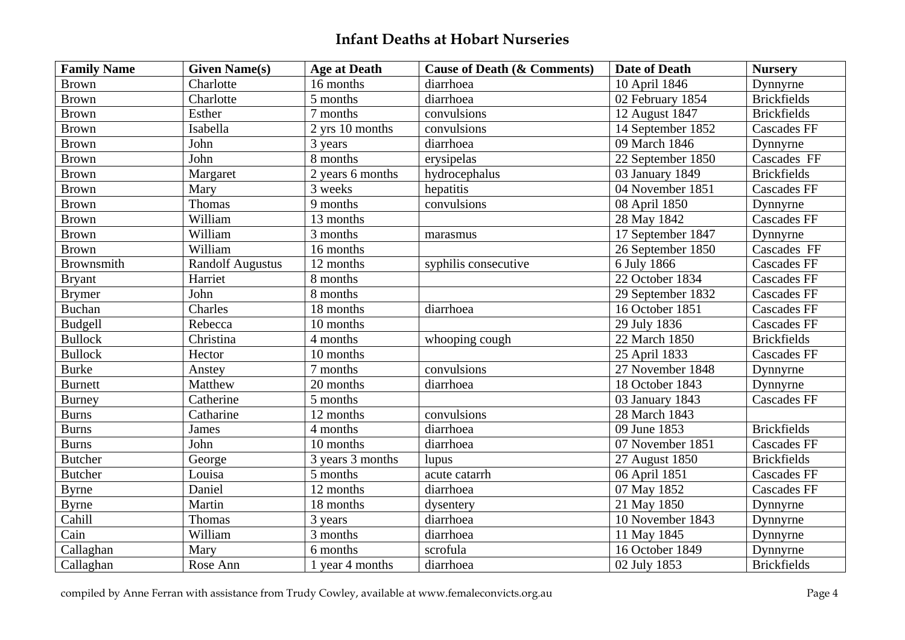| <b>Family Name</b> | <b>Given Name(s)</b>    | <b>Age at Death</b> | <b>Cause of Death (&amp; Comments)</b> | Date of Death     | <b>Nursery</b>     |
|--------------------|-------------------------|---------------------|----------------------------------------|-------------------|--------------------|
| <b>Brown</b>       | Charlotte               | 16 months           | diarrhoea                              | 10 April 1846     | Dynnyrne           |
| <b>Brown</b>       | Charlotte               | 5 months            | diarrhoea                              | 02 February 1854  | <b>Brickfields</b> |
| <b>Brown</b>       | Esther                  | 7 months            | convulsions                            | 12 August 1847    | <b>Brickfields</b> |
| <b>Brown</b>       | Isabella                | 2 yrs 10 months     | convulsions                            | 14 September 1852 | <b>Cascades FF</b> |
| <b>Brown</b>       | John                    | 3 years             | diarrhoea                              | 09 March 1846     | Dynnyrne           |
| <b>Brown</b>       | John                    | 8 months            | erysipelas                             | 22 September 1850 | Cascades FF        |
| <b>Brown</b>       | Margaret                | 2 years 6 months    | hydrocephalus                          | 03 January 1849   | <b>Brickfields</b> |
| <b>Brown</b>       | Mary                    | 3 weeks             | hepatitis                              | 04 November 1851  | <b>Cascades FF</b> |
| <b>Brown</b>       | Thomas                  | 9 months            | convulsions                            | 08 April 1850     | Dynnyrne           |
| <b>Brown</b>       | William                 | 13 months           |                                        | 28 May 1842       | <b>Cascades FF</b> |
| <b>Brown</b>       | William                 | 3 months            | marasmus                               | 17 September 1847 | Dynnyrne           |
| <b>Brown</b>       | William                 | 16 months           |                                        | 26 September 1850 | Cascades FF        |
| Brownsmith         | <b>Randolf Augustus</b> | 12 months           | syphilis consecutive                   | 6 July 1866       | <b>Cascades FF</b> |
| <b>Bryant</b>      | Harriet                 | 8 months            |                                        | 22 October 1834   | <b>Cascades FF</b> |
| <b>Brymer</b>      | John                    | 8 months            |                                        | 29 September 1832 | <b>Cascades FF</b> |
| <b>Buchan</b>      | Charles                 | 18 months           | diarrhoea                              | 16 October 1851   | <b>Cascades FF</b> |
| Budgell            | Rebecca                 | 10 months           |                                        | 29 July 1836      | <b>Cascades FF</b> |
| <b>Bullock</b>     | Christina               | 4 months            | whooping cough                         | 22 March 1850     | <b>Brickfields</b> |
| <b>Bullock</b>     | Hector                  | 10 months           |                                        | 25 April 1833     | <b>Cascades FF</b> |
| <b>Burke</b>       | Anstey                  | 7 months            | convulsions                            | 27 November 1848  | Dynnyrne           |
| <b>Burnett</b>     | Matthew                 | 20 months           | diarrhoea                              | 18 October 1843   | Dynnyrne           |
| <b>Burney</b>      | Catherine               | 5 months            |                                        | 03 January 1843   | <b>Cascades FF</b> |
| <b>Burns</b>       | Catharine               | 12 months           | convulsions                            | 28 March 1843     |                    |
| <b>Burns</b>       | <b>James</b>            | 4 months            | diarrhoea                              | 09 June 1853      | <b>Brickfields</b> |
| <b>Burns</b>       | John                    | 10 months           | diarrhoea                              | 07 November 1851  | <b>Cascades FF</b> |
| <b>Butcher</b>     | George                  | 3 years 3 months    | lupus                                  | 27 August 1850    | <b>Brickfields</b> |
| <b>Butcher</b>     | Louisa                  | 5 months            | acute catarrh                          | 06 April 1851     | <b>Cascades FF</b> |
| <b>Byrne</b>       | Daniel                  | 12 months           | diarrhoea                              | 07 May 1852       | <b>Cascades FF</b> |
| <b>Byrne</b>       | Martin                  | 18 months           | dysentery                              | 21 May 1850       | Dynnyrne           |
| Cahill             | Thomas                  | 3 years             | diarrhoea                              | 10 November 1843  | Dynnyrne           |
| Cain               | William                 | 3 months            | diarrhoea                              | 11 May 1845       | Dynnyrne           |
| Callaghan          | Mary                    | 6 months            | scrofula                               | 16 October 1849   | Dynnyrne           |
| Callaghan          | Rose Ann                | 1 year 4 months     | diarrhoea                              | 02 July 1853      | <b>Brickfields</b> |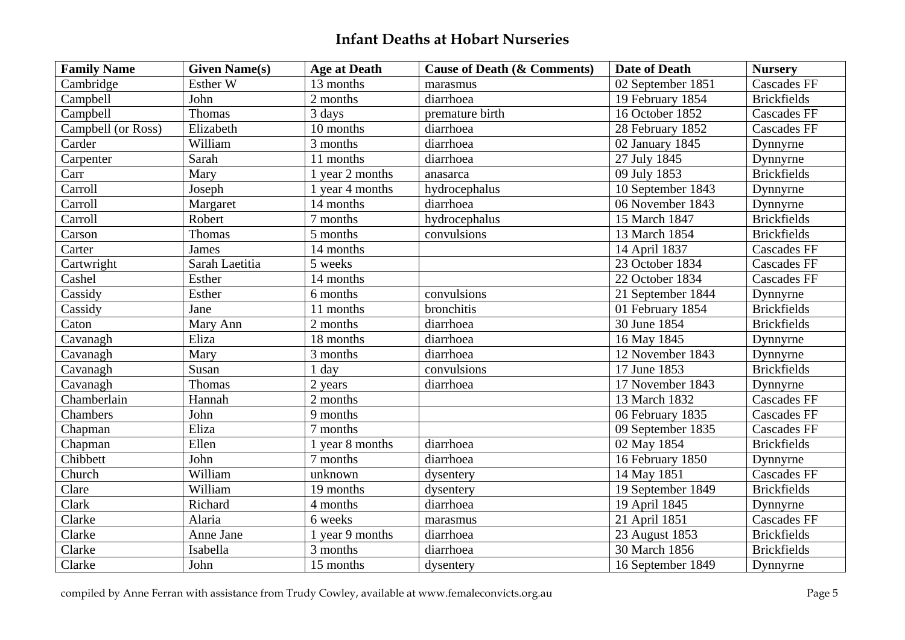| <b>Family Name</b> | <b>Given Name(s)</b> | <b>Age at Death</b> | <b>Cause of Death (&amp; Comments)</b> | <b>Date of Death</b> | <b>Nursery</b>     |
|--------------------|----------------------|---------------------|----------------------------------------|----------------------|--------------------|
| Cambridge          | Esther W             | 13 months           | marasmus                               | 02 September 1851    | <b>Cascades FF</b> |
| Campbell           | John                 | 2 months            | diarrhoea                              | 19 February 1854     | <b>Brickfields</b> |
| Campbell           | Thomas               | 3 days              | premature birth                        | 16 October 1852      | Cascades FF        |
| Campbell (or Ross) | Elizabeth            | 10 months           | diarrhoea                              | 28 February 1852     | <b>Cascades FF</b> |
| Carder             | William              | 3 months            | diarrhoea                              | 02 January 1845      | Dynnyrne           |
| Carpenter          | Sarah                | 11 months           | diarrhoea                              | 27 July 1845         | Dynnyrne           |
| Carr               | Mary                 | 1 year 2 months     | anasarca                               | 09 July 1853         | <b>Brickfields</b> |
| Carroll            | Joseph               | 1 year 4 months     | hydrocephalus                          | 10 September 1843    | Dynnyrne           |
| Carroll            | Margaret             | 14 months           | diarrhoea                              | 06 November 1843     | Dynnyrne           |
| Carroll            | Robert               | 7 months            | hydrocephalus                          | 15 March 1847        | <b>Brickfields</b> |
| Carson             | Thomas               | 5 months            | convulsions                            | 13 March 1854        | <b>Brickfields</b> |
| Carter             | James                | 14 months           |                                        | 14 April 1837        | <b>Cascades FF</b> |
| Cartwright         | Sarah Laetitia       | 5 weeks             |                                        | 23 October 1834      | <b>Cascades FF</b> |
| Cashel             | Esther               | 14 months           |                                        | 22 October 1834      | <b>Cascades FF</b> |
| Cassidy            | Esther               | 6 months            | convulsions                            | 21 September 1844    | Dynnyrne           |
| Cassidy            | Jane                 | 11 months           | bronchitis                             | 01 February 1854     | <b>Brickfields</b> |
| Caton              | Mary Ann             | 2 months            | diarrhoea                              | 30 June 1854         | <b>Brickfields</b> |
| Cavanagh           | Eliza                | 18 months           | diarrhoea                              | 16 May 1845          | Dynnyrne           |
| Cavanagh           | Mary                 | 3 months            | diarrhoea                              | 12 November 1843     | Dynnyrne           |
| Cavanagh           | Susan                | 1 day               | convulsions                            | 17 June 1853         | <b>Brickfields</b> |
| Cavanagh           | Thomas               | 2 years             | diarrhoea                              | 17 November 1843     | Dynnyrne           |
| Chamberlain        | Hannah               | 2 months            |                                        | 13 March 1832        | <b>Cascades FF</b> |
| Chambers           | John                 | 9 months            |                                        | 06 February 1835     | <b>Cascades FF</b> |
| Chapman            | Eliza                | 7 months            |                                        | 09 September 1835    | <b>Cascades FF</b> |
| Chapman            | Ellen                | 1 year 8 months     | diarrhoea                              | 02 May 1854          | <b>Brickfields</b> |
| Chibbett           | John                 | 7 months            | diarrhoea                              | 16 February 1850     | Dynnyrne           |
| Church             | William              | unknown             | dysentery                              | 14 May 1851          | <b>Cascades FF</b> |
| Clare              | William              | 19 months           | dysentery                              | 19 September 1849    | <b>Brickfields</b> |
| Clark              | Richard              | 4 months            | diarrhoea                              | 19 April 1845        | Dynnyrne           |
| Clarke             | Alaria               | 6 weeks             | marasmus                               | 21 April 1851        | <b>Cascades FF</b> |
| Clarke             | Anne Jane            | 1 year 9 months     | diarrhoea                              | 23 August 1853       | <b>Brickfields</b> |
| Clarke             | Isabella             | 3 months            | diarrhoea                              | 30 March 1856        | <b>Brickfields</b> |
| Clarke             | John                 | 15 months           | dysentery                              | 16 September 1849    | Dynnyrne           |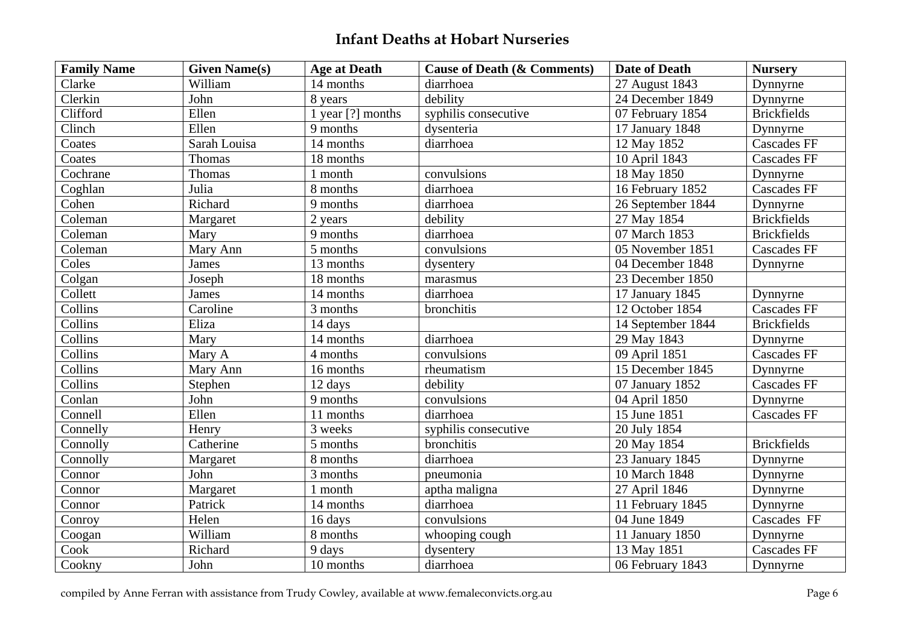| <b>Family Name</b> | <b>Given Name(s)</b> | <b>Age at Death</b> | <b>Cause of Death (&amp; Comments)</b> | Date of Death     | <b>Nursery</b>     |
|--------------------|----------------------|---------------------|----------------------------------------|-------------------|--------------------|
| Clarke             | William              | 14 months           | diarrhoea                              | 27 August 1843    | Dynnyrne           |
| Clerkin            | John                 | 8 years             | debility                               | 24 December 1849  | Dynnyrne           |
| Clifford           | Ellen                | 1 year $[?]$ months | syphilis consecutive                   | 07 February 1854  | <b>Brickfields</b> |
| Clinch             | Ellen                | 9 months            | dysenteria                             | 17 January 1848   | Dynnyrne           |
| Coates             | Sarah Louisa         | 14 months           | diarrhoea                              | 12 May 1852       | Cascades FF        |
| Coates             | Thomas               | 18 months           |                                        | 10 April 1843     | <b>Cascades FF</b> |
| Cochrane           | Thomas               | 1 month             | convulsions                            | 18 May 1850       | Dynnyrne           |
| Coghlan            | Julia                | 8 months            | diarrhoea                              | 16 February 1852  | <b>Cascades FF</b> |
| Cohen              | Richard              | 9 months            | diarrhoea                              | 26 September 1844 | Dynnyrne           |
| Coleman            | Margaret             | 2 years             | debility                               | 27 May 1854       | <b>Brickfields</b> |
| Coleman            | Mary                 | 9 months            | diarrhoea                              | 07 March 1853     | <b>Brickfields</b> |
| Coleman            | Mary Ann             | 5 months            | convulsions                            | 05 November 1851  | <b>Cascades FF</b> |
| Coles              | James                | 13 months           | dysentery                              | 04 December 1848  | Dynnyrne           |
| Colgan             | Joseph               | 18 months           | marasmus                               | 23 December 1850  |                    |
| Collett            | James                | 14 months           | diarrhoea                              | 17 January 1845   | Dynnyrne           |
| Collins            | Caroline             | 3 months            | bronchitis                             | 12 October 1854   | <b>Cascades FF</b> |
| Collins            | Eliza                | 14 days             |                                        | 14 September 1844 | <b>Brickfields</b> |
| Collins            | Mary                 | 14 months           | diarrhoea                              | 29 May 1843       | Dynnyrne           |
| Collins            | Mary A               | 4 months            | convulsions                            | 09 April 1851     | <b>Cascades FF</b> |
| Collins            | Mary Ann             | 16 months           | rheumatism                             | 15 December 1845  | Dynnyrne           |
| Collins            | Stephen              | 12 days             | debility                               | 07 January 1852   | Cascades FF        |
| Conlan             | John                 | 9 months            | convulsions                            | 04 April 1850     | Dynnyrne           |
| Connell            | Ellen                | 11 months           | diarrhoea                              | 15 June 1851      | <b>Cascades FF</b> |
| Connelly           | Henry                | 3 weeks             | syphilis consecutive                   | 20 July 1854      |                    |
| Connolly           | Catherine            | 5 months            | bronchitis                             | 20 May 1854       | <b>Brickfields</b> |
| Connolly           | Margaret             | 8 months            | diarrhoea                              | 23 January 1845   | Dynnyrne           |
| Connor             | John                 | 3 months            | pneumonia                              | 10 March 1848     | Dynnyrne           |
| Connor             | Margaret             | 1 month             | aptha maligna                          | 27 April 1846     | Dynnyrne           |
| Connor             | Patrick              | 14 months           | diarrhoea                              | 11 February 1845  | Dynnyrne           |
| Conroy             | Helen                | 16 days             | convulsions                            | 04 June 1849      | Cascades FF        |
| Coogan             | William              | 8 months            | whooping cough                         | 11 January 1850   | Dynnyrne           |
| Cook               | Richard              | 9 days              | dysentery                              | 13 May 1851       | <b>Cascades FF</b> |
| Cookny             | John                 | 10 months           | diarrhoea                              | 06 February 1843  | Dynnyrne           |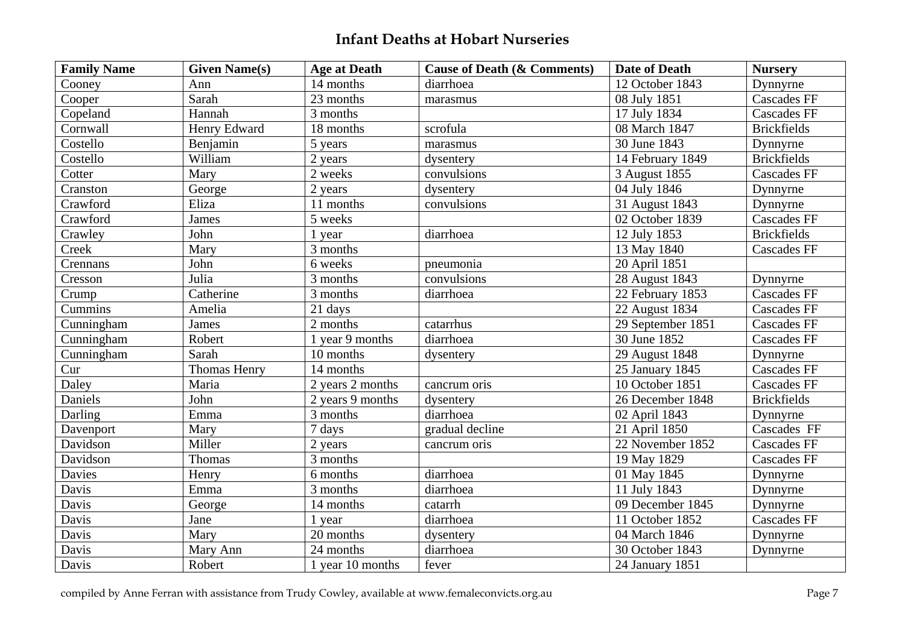| <b>Family Name</b> | <b>Given Name(s)</b> | <b>Age at Death</b> | <b>Cause of Death (&amp; Comments)</b> | <b>Date of Death</b> | <b>Nursery</b>     |
|--------------------|----------------------|---------------------|----------------------------------------|----------------------|--------------------|
| Cooney             | Ann                  | 14 months           | diarrhoea                              | 12 October 1843      | Dynnyrne           |
| Cooper             | Sarah                | 23 months           | marasmus                               | 08 July 1851         | <b>Cascades FF</b> |
| Copeland           | Hannah               | 3 months            |                                        | 17 July 1834         | <b>Cascades FF</b> |
| Cornwall           | Henry Edward         | 18 months           | scrofula                               | 08 March 1847        | <b>Brickfields</b> |
| Costello           | Benjamin             | 5 years             | marasmus                               | 30 June 1843         | Dynnyrne           |
| Costello           | William              | 2 years             | dysentery                              | 14 February 1849     | <b>Brickfields</b> |
| Cotter             | Mary                 | 2 weeks             | convulsions                            | 3 August 1855        | <b>Cascades FF</b> |
| Cranston           | George               | 2 years             | dysentery                              | 04 July 1846         | Dynnyrne           |
| Crawford           | Eliza                | 11 months           | convulsions                            | 31 August 1843       | Dynnyrne           |
| Crawford           | James                | 5 weeks             |                                        | 02 October 1839      | <b>Cascades FF</b> |
| Crawley            | John                 | 1 year              | diarrhoea                              | 12 July 1853         | <b>Brickfields</b> |
| Creek              | Mary                 | 3 months            |                                        | 13 May 1840          | <b>Cascades FF</b> |
| Crennans           | John                 | 6 weeks             | pneumonia                              | 20 April 1851        |                    |
| Cresson            | Julia                | 3 months            | convulsions                            | 28 August 1843       | Dynnyrne           |
| Crump              | Catherine            | 3 months            | diarrhoea                              | 22 February 1853     | <b>Cascades FF</b> |
| Cummins            | Amelia               | 21 days             |                                        | 22 August 1834       | <b>Cascades FF</b> |
| Cunningham         | James                | 2 months            | catarrhus                              | 29 September 1851    | <b>Cascades FF</b> |
| Cunningham         | Robert               | 1 year 9 months     | diarrhoea                              | 30 June 1852         | <b>Cascades FF</b> |
| Cunningham         | Sarah                | 10 months           | dysentery                              | 29 August 1848       | Dynnyrne           |
| Cur                | Thomas Henry         | 14 months           |                                        | 25 January 1845      | <b>Cascades FF</b> |
| Daley              | Maria                | 2 years 2 months    | cancrum oris                           | 10 October 1851      | <b>Cascades FF</b> |
| Daniels            | John                 | 2 years 9 months    | dysentery                              | 26 December 1848     | <b>Brickfields</b> |
| Darling            | Emma                 | 3 months            | diarrhoea                              | 02 April 1843        | Dynnyrne           |
| Davenport          | Mary                 | 7 days              | gradual decline                        | 21 April 1850        | Cascades FF        |
| Davidson           | Miller               | 2 years             | cancrum oris                           | 22 November 1852     | <b>Cascades FF</b> |
| Davidson           | Thomas               | 3 months            |                                        | 19 May 1829          | <b>Cascades FF</b> |
| Davies             | Henry                | 6 months            | diarrhoea                              | 01 May 1845          | Dynnyrne           |
| Davis              | Emma                 | 3 months            | diarrhoea                              | 11 July 1843         | Dynnyrne           |
| Davis              | George               | 14 months           | catarrh                                | 09 December 1845     | Dynnyrne           |
| Davis              | Jane                 | 1 year              | diarrhoea                              | 11 October 1852      | <b>Cascades FF</b> |
| Davis              | Mary                 | 20 months           | dysentery                              | 04 March 1846        | Dynnyrne           |
| Davis              | Mary Ann             | 24 months           | diarrhoea                              | 30 October 1843      | Dynnyrne           |
| Davis              | Robert               | 1 year 10 months    | fever                                  | 24 January 1851      |                    |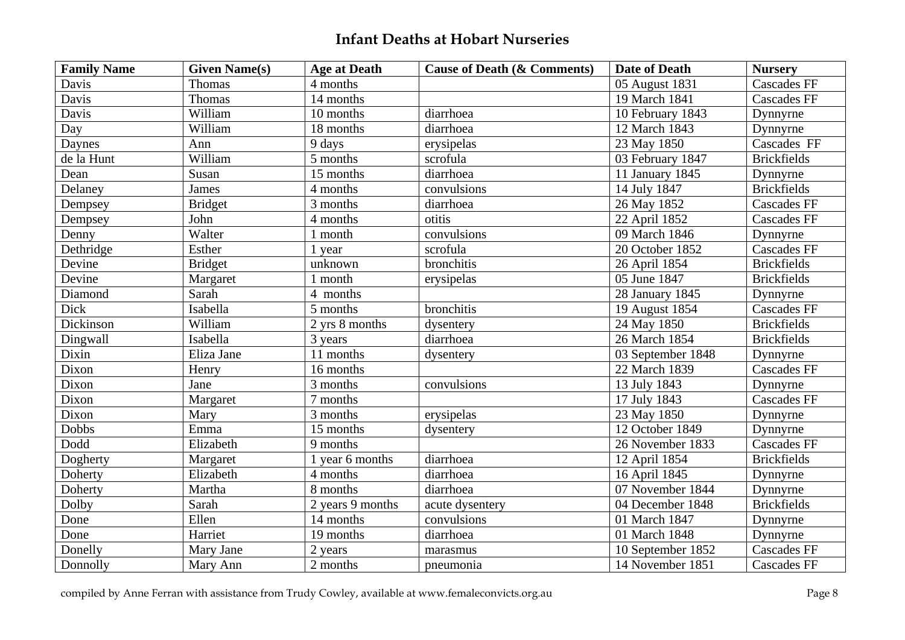| <b>Family Name</b> | <b>Given Name(s)</b> | <b>Age at Death</b> | <b>Cause of Death (&amp; Comments)</b> | <b>Date of Death</b> | <b>Nursery</b>     |
|--------------------|----------------------|---------------------|----------------------------------------|----------------------|--------------------|
| Davis              | Thomas               | 4 months            |                                        | 05 August 1831       | <b>Cascades FF</b> |
| Davis              | Thomas               | 14 months           |                                        | 19 March 1841        | <b>Cascades FF</b> |
| Davis              | William              | 10 months           | diarrhoea                              | 10 February 1843     | Dynnyrne           |
| Day                | William              | 18 months           | diarrhoea                              | 12 March 1843        | Dynnyrne           |
| Daynes             | Ann                  | 9 days              | erysipelas                             | 23 May 1850          | Cascades FF        |
| de la Hunt         | William              | 5 months            | scrofula                               | 03 February 1847     | <b>Brickfields</b> |
| Dean               | Susan                | 15 months           | diarrhoea                              | 11 January 1845      | Dynnyrne           |
| Delaney            | James                | 4 months            | convulsions                            | 14 July 1847         | <b>Brickfields</b> |
| Dempsey            | <b>Bridget</b>       | 3 months            | diarrhoea                              | 26 May 1852          | <b>Cascades FF</b> |
| Dempsey            | John                 | 4 months            | otitis                                 | 22 April 1852        | <b>Cascades FF</b> |
| Denny              | Walter               | 1 month             | convulsions                            | 09 March 1846        | Dynnyrne           |
| Dethridge          | Esther               | 1 year              | scrofula                               | 20 October 1852      | <b>Cascades FF</b> |
| Devine             | <b>Bridget</b>       | unknown             | bronchitis                             | 26 April 1854        | <b>Brickfields</b> |
| Devine             | Margaret             | 1 month             | erysipelas                             | 05 June 1847         | <b>Brickfields</b> |
| Diamond            | Sarah                | 4 months            |                                        | 28 January 1845      | Dynnyrne           |
| Dick               | Isabella             | 5 months            | bronchitis                             | 19 August 1854       | <b>Cascades FF</b> |
| Dickinson          | William              | 2 yrs 8 months      | dysentery                              | 24 May 1850          | <b>Brickfields</b> |
| Dingwall           | Isabella             | 3 years             | diarrhoea                              | 26 March 1854        | <b>Brickfields</b> |
| Dixin              | Eliza Jane           | 11 months           | dysentery                              | 03 September 1848    | Dynnyrne           |
| Dixon              | Henry                | 16 months           |                                        | 22 March 1839        | <b>Cascades FF</b> |
| Dixon              | Jane                 | 3 months            | convulsions                            | 13 July 1843         | Dynnyrne           |
| Dixon              | Margaret             | 7 months            |                                        | 17 July 1843         | <b>Cascades FF</b> |
| Dixon              | Mary                 | 3 months            | erysipelas                             | 23 May 1850          | Dynnyrne           |
| Dobbs              | Emma                 | 15 months           | dysentery                              | 12 October 1849      | Dynnyrne           |
| Dodd               | Elizabeth            | 9 months            |                                        | 26 November 1833     | <b>Cascades FF</b> |
| Dogherty           | Margaret             | 1 year 6 months     | diarrhoea                              | 12 April 1854        | <b>Brickfields</b> |
| Doherty            | Elizabeth            | 4 months            | diarrhoea                              | 16 April 1845        | Dynnyrne           |
| Doherty            | Martha               | 8 months            | diarrhoea                              | 07 November 1844     | Dynnyrne           |
| Dolby              | Sarah                | 2 years 9 months    | acute dysentery                        | 04 December 1848     | <b>Brickfields</b> |
| Done               | Ellen                | 14 months           | convulsions                            | 01 March 1847        | Dynnyrne           |
| Done               | Harriet              | 19 months           | diarrhoea                              | 01 March 1848        | Dynnyrne           |
| Donelly            | Mary Jane            | 2 years             | marasmus                               | 10 September 1852    | <b>Cascades FF</b> |
| Donnolly           | Mary Ann             | 2 months            | pneumonia                              | 14 November 1851     | <b>Cascades FF</b> |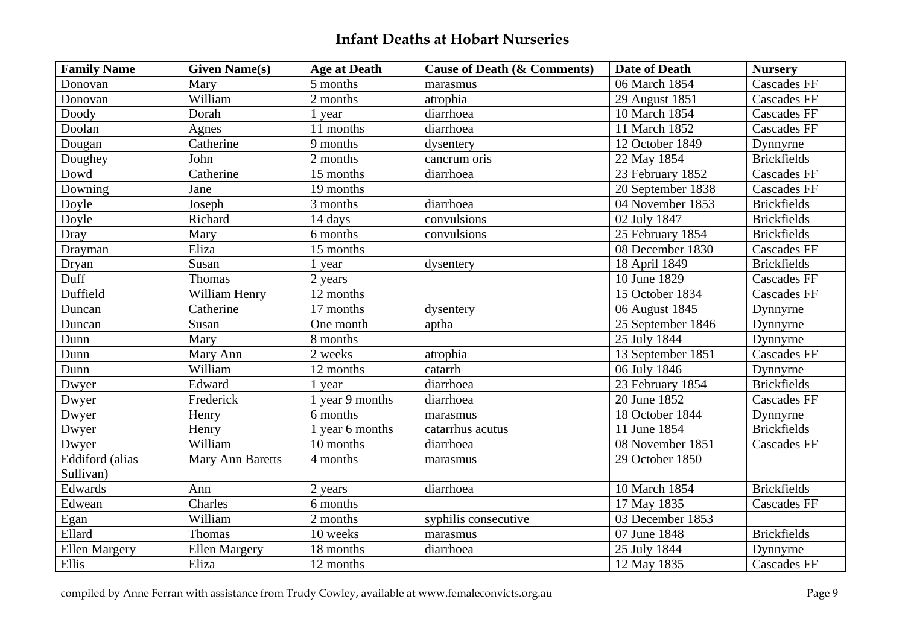| <b>Family Name</b>   | <b>Given Name(s)</b> | <b>Age at Death</b> | <b>Cause of Death (&amp; Comments)</b> | <b>Date of Death</b> | <b>Nursery</b>     |
|----------------------|----------------------|---------------------|----------------------------------------|----------------------|--------------------|
| Donovan              | Mary                 | 5 months            | marasmus                               | 06 March 1854        | <b>Cascades FF</b> |
| Donovan              | William              | 2 months            | atrophia                               | 29 August 1851       | <b>Cascades FF</b> |
| Doody                | Dorah                | 1 year              | diarrhoea                              | 10 March 1854        | <b>Cascades FF</b> |
| Doolan               | Agnes                | 11 months           | diarrhoea                              | 11 March 1852        | <b>Cascades FF</b> |
| Dougan               | Catherine            | 9 months            | dysentery                              | 12 October 1849      | Dynnyrne           |
| Doughey              | John                 | 2 months            | cancrum oris                           | 22 May 1854          | <b>Brickfields</b> |
| Dowd                 | Catherine            | 15 months           | diarrhoea                              | 23 February 1852     | <b>Cascades FF</b> |
| Downing              | Jane                 | 19 months           |                                        | 20 September 1838    | <b>Cascades FF</b> |
| Doyle                | Joseph               | 3 months            | diarrhoea                              | 04 November 1853     | <b>Brickfields</b> |
| Doyle                | Richard              | 14 days             | convulsions                            | 02 July 1847         | <b>Brickfields</b> |
| Dray                 | Mary                 | 6 months            | convulsions                            | 25 February 1854     | <b>Brickfields</b> |
| Drayman              | Eliza                | 15 months           |                                        | 08 December 1830     | <b>Cascades FF</b> |
| Dryan                | Susan                | 1 year              | dysentery                              | 18 April 1849        | <b>Brickfields</b> |
| Duff                 | Thomas               | 2 years             |                                        | 10 June 1829         | <b>Cascades FF</b> |
| Duffield             | William Henry        | 12 months           |                                        | 15 October 1834      | <b>Cascades FF</b> |
| Duncan               | Catherine            | 17 months           | dysentery                              | 06 August 1845       | Dynnyrne           |
| Duncan               | Susan                | One month           | aptha                                  | 25 September 1846    | Dynnyrne           |
| Dunn                 | Mary                 | 8 months            |                                        | 25 July 1844         | Dynnyrne           |
| Dunn                 | Mary Ann             | 2 weeks             | atrophia                               | 13 September 1851    | <b>Cascades FF</b> |
| Dunn                 | William              | 12 months           | catarrh                                | 06 July 1846         | Dynnyrne           |
| Dwyer                | Edward               | 1 year              | diarrhoea                              | 23 February 1854     | <b>Brickfields</b> |
| Dwyer                | Frederick            | 1 year 9 months     | diarrhoea                              | 20 June 1852         | <b>Cascades FF</b> |
| Dwyer                | Henry                | 6 months            | marasmus                               | 18 October 1844      | Dynnyrne           |
| Dwyer                | Henry                | 1 year 6 months     | catarrhus acutus                       | 11 June 1854         | <b>Brickfields</b> |
| Dwyer                | William              | 10 months           | diarrhoea                              | 08 November 1851     | <b>Cascades FF</b> |
| Eddiford (alias      | Mary Ann Baretts     | 4 months            | marasmus                               | 29 October 1850      |                    |
| Sullivan)            |                      |                     |                                        |                      |                    |
| Edwards              | Ann                  | 2 years             | diarrhoea                              | 10 March 1854        | <b>Brickfields</b> |
| Edwean               | Charles              | 6 months            |                                        | 17 May 1835          | <b>Cascades FF</b> |
| Egan                 | William              | 2 months            | syphilis consecutive                   | 03 December 1853     |                    |
| Ellard               | Thomas               | 10 weeks            | marasmus                               | 07 June 1848         | <b>Brickfields</b> |
| <b>Ellen Margery</b> | <b>Ellen Margery</b> | 18 months           | diarrhoea                              | 25 July 1844         | Dynnyrne           |
| Ellis                | Eliza                | 12 months           |                                        | 12 May 1835          | <b>Cascades FF</b> |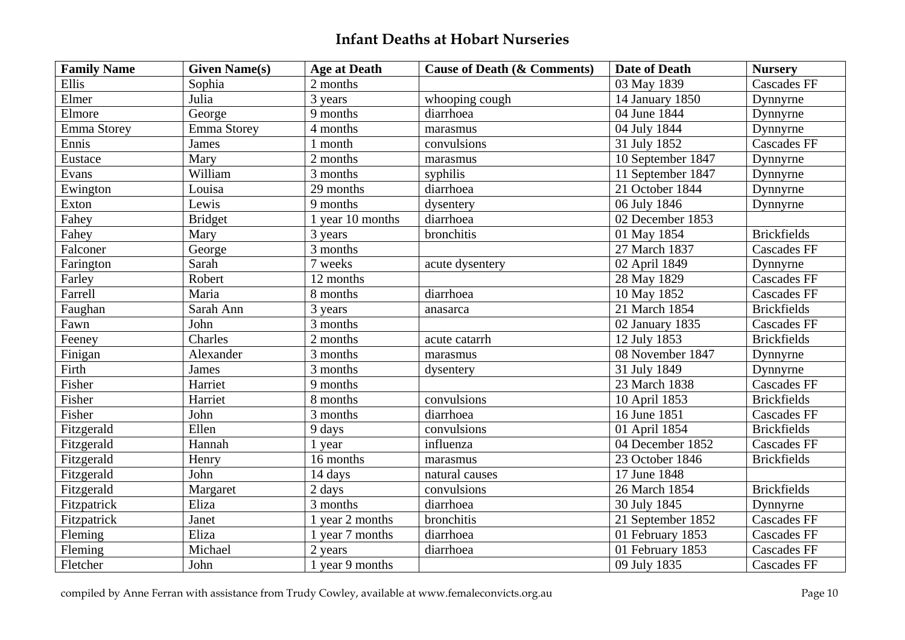| <b>Family Name</b> | <b>Given Name(s)</b> | <b>Age at Death</b> | <b>Cause of Death (&amp; Comments)</b> | <b>Date of Death</b> | <b>Nurserv</b>     |
|--------------------|----------------------|---------------------|----------------------------------------|----------------------|--------------------|
| Ellis              | Sophia               | 2 months            |                                        | 03 May 1839          | <b>Cascades FF</b> |
| Elmer              | Julia                | 3 years             | whooping cough                         | 14 January 1850      | Dynnyrne           |
| Elmore             | George               | 9 months            | diarrhoea                              | 04 June 1844         | Dynnyrne           |
| Emma Storey        | <b>Emma Storey</b>   | 4 months            | marasmus                               | 04 July 1844         | Dynnyrne           |
| Ennis              | James                | 1 month             | convulsions                            | 31 July 1852         | <b>Cascades FF</b> |
| Eustace            | Mary                 | 2 months            | marasmus                               | 10 September 1847    | Dynnyrne           |
| Evans              | William              | 3 months            | syphilis                               | 11 September 1847    | Dynnyrne           |
| Ewington           | Louisa               | 29 months           | diarrhoea                              | 21 October 1844      | Dynnyrne           |
| Exton              | Lewis                | 9 months            | dysentery                              | 06 July 1846         | Dynnyrne           |
| Fahey              | <b>Bridget</b>       | 1 year 10 months    | diarrhoea                              | 02 December 1853     |                    |
| Fahey              | Mary                 | 3 years             | bronchitis                             | 01 May 1854          | <b>Brickfields</b> |
| Falconer           | George               | 3 months            |                                        | 27 March 1837        | <b>Cascades FF</b> |
| Farington          | Sarah                | 7 weeks             | acute dysentery                        | 02 April 1849        | Dynnyrne           |
| Farley             | Robert               | 12 months           |                                        | 28 May 1829          | <b>Cascades FF</b> |
| Farrell            | Maria                | 8 months            | diarrhoea                              | 10 May 1852          | <b>Cascades FF</b> |
| Faughan            | Sarah Ann            | 3 years             | anasarca                               | 21 March 1854        | <b>Brickfields</b> |
| Fawn               | John                 | 3 months            |                                        | 02 January 1835      | <b>Cascades FF</b> |
| Feeney             | Charles              | 2 months            | acute catarrh                          | 12 July 1853         | <b>Brickfields</b> |
| Finigan            | Alexander            | 3 months            | marasmus                               | 08 November 1847     | Dynnyrne           |
| Firth              | James                | 3 months            | dysentery                              | 31 July 1849         | Dynnyrne           |
| Fisher             | Harriet              | 9 months            |                                        | 23 March 1838        | <b>Cascades FF</b> |
| Fisher             | Harriet              | 8 months            | convulsions                            | 10 April 1853        | <b>Brickfields</b> |
| Fisher             | John                 | 3 months            | diarrhoea                              | 16 June 1851         | <b>Cascades FF</b> |
| Fitzgerald         | Ellen                | 9 days              | convulsions                            | 01 April 1854        | <b>Brickfields</b> |
| Fitzgerald         | Hannah               | 1 year              | influenza                              | 04 December 1852     | <b>Cascades FF</b> |
| Fitzgerald         | Henry                | 16 months           | marasmus                               | 23 October 1846      | <b>Brickfields</b> |
| Fitzgerald         | John                 | 14 days             | natural causes                         | 17 June 1848         |                    |
| Fitzgerald         | Margaret             | 2 days              | convulsions                            | 26 March 1854        | <b>Brickfields</b> |
| Fitzpatrick        | Eliza                | 3 months            | diarrhoea                              | 30 July 1845         | Dynnyrne           |
| Fitzpatrick        | Janet                | 1 year 2 months     | bronchitis                             | 21 September 1852    | <b>Cascades FF</b> |
| Fleming            | Eliza                | 1 year 7 months     | diarrhoea                              | 01 February 1853     | <b>Cascades FF</b> |
| Fleming            | Michael              | 2 years             | diarrhoea                              | 01 February 1853     | <b>Cascades FF</b> |
| Fletcher           | John                 | 1 year 9 months     |                                        | 09 July 1835         | <b>Cascades FF</b> |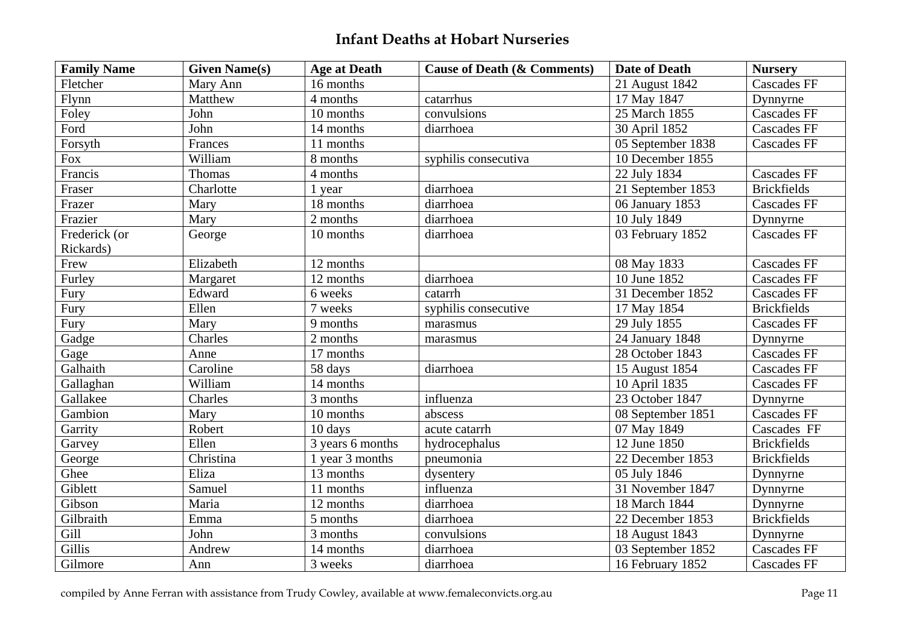| <b>Family Name</b> | <b>Given Name(s)</b> | <b>Age at Death</b> | <b>Cause of Death (&amp; Comments)</b> | <b>Date of Death</b> | <b>Nursery</b>     |
|--------------------|----------------------|---------------------|----------------------------------------|----------------------|--------------------|
| Fletcher           | Mary Ann             | 16 months           |                                        | 21 August 1842       | <b>Cascades FF</b> |
| Flynn              | Matthew              | 4 months            | catarrhus                              | 17 May 1847          | Dynnyrne           |
| Foley              | John                 | 10 months           | convulsions                            | 25 March 1855        | <b>Cascades FF</b> |
| Ford               | John                 | 14 months           | diarrhoea                              | 30 April 1852        | <b>Cascades FF</b> |
| Forsyth            | Frances              | 11 months           |                                        | 05 September 1838    | <b>Cascades FF</b> |
| Fox                | William              | 8 months            | syphilis consecutiva                   | 10 December 1855     |                    |
| Francis            | Thomas               | 4 months            |                                        | 22 July 1834         | <b>Cascades FF</b> |
| Fraser             | Charlotte            | 1 year              | diarrhoea                              | 21 September 1853    | <b>Brickfields</b> |
| Frazer             | Mary                 | 18 months           | diarrhoea                              | 06 January 1853      | <b>Cascades FF</b> |
| Frazier            | Mary                 | 2 months            | diarrhoea                              | 10 July 1849         | Dynnyrne           |
| Frederick (or      | George               | 10 months           | diarrhoea                              | 03 February 1852     | <b>Cascades FF</b> |
| Rickards)          |                      |                     |                                        |                      |                    |
| Frew               | Elizabeth            | 12 months           |                                        | 08 May 1833          | <b>Cascades FF</b> |
| Furley             | Margaret             | 12 months           | diarrhoea                              | 10 June 1852         | <b>Cascades FF</b> |
| Fury               | Edward               | 6 weeks             | catarrh                                | 31 December 1852     | <b>Cascades FF</b> |
| Fury               | Ellen                | 7 weeks             | syphilis consecutive                   | 17 May 1854          | <b>Brickfields</b> |
| Fury               | Mary                 | 9 months            | marasmus                               | 29 July 1855         | <b>Cascades FF</b> |
| Gadge              | Charles              | 2 months            | marasmus                               | 24 January 1848      | Dynnyrne           |
| Gage               | Anne                 | 17 months           |                                        | 28 October 1843      | <b>Cascades FF</b> |
| Galhaith           | Caroline             | 58 days             | diarrhoea                              | 15 August 1854       | <b>Cascades FF</b> |
| Gallaghan          | William              | 14 months           |                                        | 10 April 1835        | <b>Cascades FF</b> |
| Gallakee           | Charles              | 3 months            | influenza                              | 23 October 1847      | Dynnyrne           |
| Gambion            | Mary                 | 10 months           | abscess                                | 08 September 1851    | <b>Cascades FF</b> |
| Garrity            | Robert               | 10 days             | acute catarrh                          | 07 May 1849          | Cascades FF        |
| Garvey             | Ellen                | 3 years 6 months    | hydrocephalus                          | 12 June 1850         | <b>Brickfields</b> |
| George             | Christina            | 1 year 3 months     | pneumonia                              | 22 December 1853     | <b>Brickfields</b> |
| Ghee               | Eliza                | 13 months           | dysentery                              | 05 July 1846         | Dynnyrne           |
| Giblett            | Samuel               | 11 months           | influenza                              | 31 November 1847     | Dynnyrne           |
| Gibson             | Maria                | 12 months           | diarrhoea                              | 18 March 1844        | Dynnyrne           |
| Gilbraith          | Emma                 | 5 months            | diarrhoea                              | 22 December 1853     | <b>Brickfields</b> |
| Gill               | John                 | 3 months            | convulsions                            | 18 August 1843       | Dynnyrne           |
| Gillis             | Andrew               | 14 months           | diarrhoea                              | 03 September 1852    | <b>Cascades FF</b> |
| Gilmore            | Ann                  | 3 weeks             | diarrhoea                              | 16 February 1852     | Cascades FF        |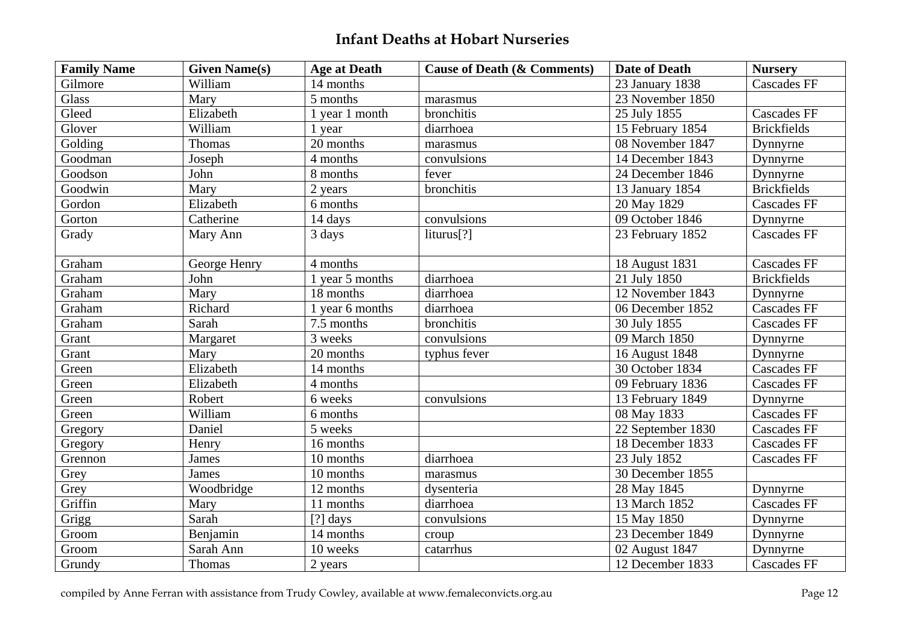| <b>Family Name</b> | <b>Given Name(s)</b> | <b>Age at Death</b> | <b>Cause of Death (&amp; Comments)</b> | <b>Date of Death</b> | <b>Nursery</b>     |
|--------------------|----------------------|---------------------|----------------------------------------|----------------------|--------------------|
| Gilmore            | William              | 14 months           |                                        | 23 January 1838      | <b>Cascades FF</b> |
| <b>Glass</b>       | Mary                 | 5 months            | marasmus                               | 23 November 1850     |                    |
| Gleed              | Elizabeth            | 1 year 1 month      | bronchitis                             | 25 July 1855         | <b>Cascades FF</b> |
| Glover             | William              | 1 year              | diarrhoea                              | 15 February 1854     | <b>Brickfields</b> |
| Golding            | Thomas               | 20 months           | marasmus                               | 08 November 1847     | Dynnyrne           |
| Goodman            | Joseph               | 4 months            | convulsions                            | 14 December 1843     | Dynnyrne           |
| Goodson            | John                 | 8 months            | fever                                  | 24 December 1846     | Dynnyrne           |
| Goodwin            | Mary                 | 2 years             | bronchitis                             | 13 January 1854      | <b>Brickfields</b> |
| Gordon             | Elizabeth            | 6 months            |                                        | 20 May 1829          | <b>Cascades FF</b> |
| Gorton             | Catherine            | 14 days             | convulsions                            | 09 October 1846      | Dynnyrne           |
| Grady              | Mary Ann             | 3 days              | liturus[?]                             | 23 February 1852     | <b>Cascades FF</b> |
| Graham             | George Henry         | 4 months            |                                        | 18 August 1831       | <b>Cascades FF</b> |
| Graham             | John                 | 1 year 5 months     | diarrhoea                              | 21 July 1850         | <b>Brickfields</b> |
| Graham             | Mary                 | 18 months           | diarrhoea                              | 12 November 1843     | Dynnyrne           |
| Graham             | Richard              | 1 year 6 months     | diarrhoea                              | 06 December 1852     | <b>Cascades FF</b> |
| Graham             | Sarah                | 7.5 months          | bronchitis                             | 30 July 1855         | <b>Cascades FF</b> |
| Grant              | Margaret             | 3 weeks             | convulsions                            | 09 March 1850        | Dynnyrne           |
| Grant              | Mary                 | 20 months           | typhus fever                           | 16 August 1848       | Dynnyrne           |
| Green              | Elizabeth            | 14 months           |                                        | 30 October 1834      | <b>Cascades FF</b> |
| Green              | Elizabeth            | 4 months            |                                        | 09 February 1836     | <b>Cascades FF</b> |
| Green              | Robert               | 6 weeks             | convulsions                            | 13 February 1849     | Dynnyrne           |
| Green              | William              | 6 months            |                                        | 08 May 1833          | <b>Cascades FF</b> |
| Gregory            | Daniel               | 5 weeks             |                                        | 22 September 1830    | <b>Cascades FF</b> |
| Gregory            | Henry                | 16 months           |                                        | 18 December 1833     | <b>Cascades FF</b> |
| Grennon            | James                | 10 months           | diarrhoea                              | 23 July 1852         | <b>Cascades FF</b> |
| Grey               | James                | 10 months           | marasmus                               | 30 December 1855     |                    |
| Grey               | Woodbridge           | 12 months           | dysenteria                             | 28 May 1845          | Dynnyrne           |
| Griffin            | Mary                 | 11 months           | diarrhoea                              | 13 March 1852        | <b>Cascades FF</b> |
| Grigg              | Sarah                | [?] days            | convulsions                            | 15 May 1850          | Dynnyrne           |
| Groom              | Benjamin             | 14 months           | croup                                  | 23 December 1849     | Dynnyrne           |
| Groom              | Sarah Ann            | 10 weeks            | catarrhus                              | 02 August 1847       | Dynnyrne           |
| Grundy             | Thomas               | 2 years             |                                        | 12 December 1833     | <b>Cascades FF</b> |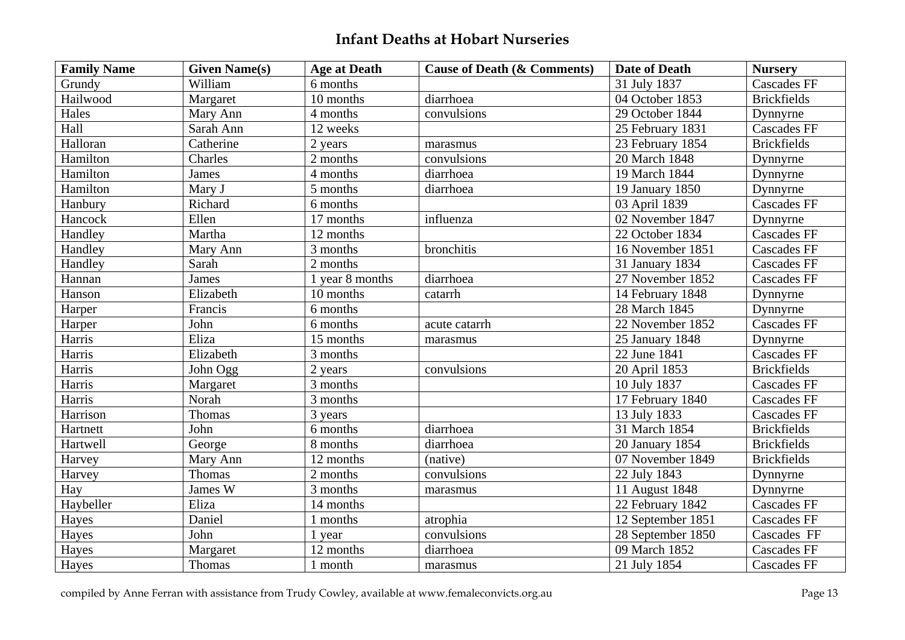| <b>Family Name</b> | <b>Given Name(s)</b> | <b>Age at Death</b> | <b>Cause of Death (&amp; Comments)</b> | <b>Date of Death</b> | <b>Nursery</b>     |
|--------------------|----------------------|---------------------|----------------------------------------|----------------------|--------------------|
| Grundy             | William              | 6 months            |                                        | 31 July 1837         | <b>Cascades FF</b> |
| Hailwood           | Margaret             | 10 months           | diarrhoea                              | 04 October 1853      | <b>Brickfields</b> |
| Hales              | Mary Ann             | 4 months            | convulsions                            | 29 October 1844      | Dynnyrne           |
| Hall               | Sarah Ann            | 12 weeks            |                                        | 25 February 1831     | <b>Cascades FF</b> |
| Halloran           | Catherine            | 2 years             | marasmus                               | 23 February 1854     | <b>Brickfields</b> |
| Hamilton           | Charles              | 2 months            | convulsions                            | 20 March 1848        | Dynnyrne           |
| Hamilton           | <b>James</b>         | 4 months            | diarrhoea                              | 19 March 1844        | Dynnyrne           |
| Hamilton           | Mary J               | 5 months            | diarrhoea                              | 19 January 1850      | Dynnyrne           |
| Hanbury            | Richard              | 6 months            |                                        | 03 April 1839        | <b>Cascades FF</b> |
| Hancock            | Ellen                | 17 months           | influenza                              | 02 November 1847     | Dynnyrne           |
| Handley            | Martha               | 12 months           |                                        | 22 October 1834      | <b>Cascades FF</b> |
| Handley            | Mary Ann             | 3 months            | bronchitis                             | 16 November 1851     | <b>Cascades FF</b> |
| Handley            | Sarah                | 2 months            |                                        | 31 January 1834      | <b>Cascades FF</b> |
| Hannan             | James                | 1 year 8 months     | diarrhoea                              | 27 November 1852     | <b>Cascades FF</b> |
| Hanson             | Elizabeth            | 10 months           | catarrh                                | 14 February 1848     | Dynnyrne           |
| Harper             | Francis              | 6 months            |                                        | 28 March 1845        | Dynnyrne           |
| Harper             | John                 | 6 months            | acute catarrh                          | 22 November 1852     | <b>Cascades FF</b> |
| Harris             | Eliza                | 15 months           | marasmus                               | 25 January 1848      | Dynnyrne           |
| Harris             | Elizabeth            | 3 months            |                                        | 22 June 1841         | <b>Cascades FF</b> |
| Harris             | John Ogg             | 2 years             | convulsions                            | 20 April 1853        | <b>Brickfields</b> |
| Harris             | Margaret             | 3 months            |                                        | 10 July 1837         | <b>Cascades FF</b> |
| Harris             | Norah                | 3 months            |                                        | 17 February 1840     | <b>Cascades FF</b> |
| Harrison           | Thomas               | 3 years             |                                        | 13 July 1833         | <b>Cascades FF</b> |
| Hartnett           | John                 | 6 months            | diarrhoea                              | 31 March 1854        | <b>Brickfields</b> |
| Hartwell           | George               | 8 months            | diarrhoea                              | 20 January 1854      | <b>Brickfields</b> |
| Harvey             | Mary Ann             | 12 months           | (native)                               | 07 November 1849     | <b>Brickfields</b> |
| Harvey             | Thomas               | 2 months            | convulsions                            | 22 July 1843         | Dynnyrne           |
| Hay                | James W              | 3 months            | marasmus                               | 11 August 1848       | Dynnyrne           |
| Haybeller          | Eliza                | 14 months           |                                        | 22 February 1842     | <b>Cascades FF</b> |
| Hayes              | Daniel               | 1 months            | atrophia                               | 12 September 1851    | <b>Cascades FF</b> |
| Hayes              | John                 | 1 year              | convulsions                            | 28 September 1850    | Cascades FF        |
| Hayes              | Margaret             | 12 months           | diarrhoea                              | 09 March 1852        | <b>Cascades FF</b> |
| Hayes              | Thomas               | 1 month             | marasmus                               | 21 July 1854         | <b>Cascades FF</b> |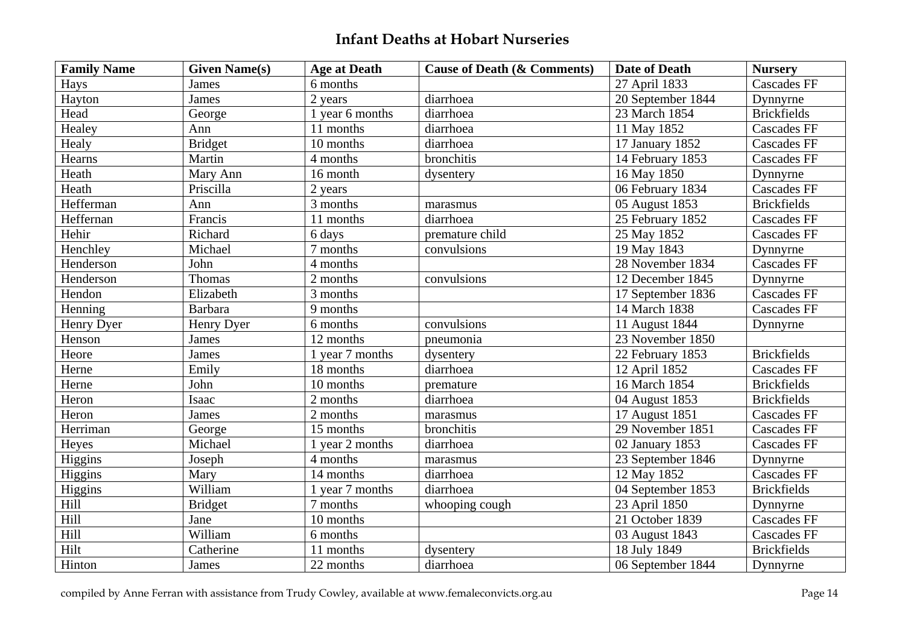| <b>Family Name</b> | <b>Given Name(s)</b> | <b>Age at Death</b> | <b>Cause of Death (&amp; Comments)</b> | <b>Date of Death</b> | <b>Nursery</b>     |
|--------------------|----------------------|---------------------|----------------------------------------|----------------------|--------------------|
| Hays               | James                | 6 months            |                                        | 27 April 1833        | <b>Cascades FF</b> |
| Hayton             | James                | 2 years             | diarrhoea                              | 20 September $1844$  | Dynnyrne           |
| Head               | George               | 1 year 6 months     | diarrhoea                              | 23 March 1854        | <b>Brickfields</b> |
| Healey             | Ann                  | 11 months           | diarrhoea                              | 11 May 1852          | <b>Cascades FF</b> |
| Healy              | <b>Bridget</b>       | 10 months           | diarrhoea                              | 17 January 1852      | <b>Cascades FF</b> |
| Hearns             | Martin               | 4 months            | bronchitis                             | 14 February 1853     | <b>Cascades FF</b> |
| Heath              | Mary Ann             | 16 month            | dysentery                              | 16 May 1850          | Dynnyrne           |
| Heath              | Priscilla            | 2 years             |                                        | 06 February 1834     | <b>Cascades FF</b> |
| Hefferman          | Ann                  | 3 months            | marasmus                               | 05 August 1853       | <b>Brickfields</b> |
| Heffernan          | Francis              | 11 months           | diarrhoea                              | 25 February 1852     | <b>Cascades FF</b> |
| Hehir              | Richard              | 6 days              | premature child                        | 25 May 1852          | <b>Cascades FF</b> |
| Henchley           | Michael              | 7 months            | convulsions                            | 19 May 1843          | Dynnyrne           |
| Henderson          | John                 | 4 months            |                                        | 28 November 1834     | <b>Cascades FF</b> |
| Henderson          | Thomas               | 2 months            | convulsions                            | 12 December 1845     | Dynnyrne           |
| Hendon             | Elizabeth            | 3 months            |                                        | 17 September 1836    | <b>Cascades FF</b> |
| Henning            | Barbara              | 9 months            |                                        | 14 March 1838        | <b>Cascades FF</b> |
| Henry Dyer         | Henry Dyer           | 6 months            | convulsions                            | 11 August 1844       | Dynnyrne           |
| Henson             | James                | 12 months           | pneumonia                              | 23 November 1850     |                    |
| Heore              | James                | 1 year 7 months     | dysentery                              | 22 February 1853     | <b>Brickfields</b> |
| Herne              | Emily                | 18 months           | diarrhoea                              | 12 April 1852        | <b>Cascades FF</b> |
| Herne              | John                 | 10 months           | premature                              | 16 March 1854        | <b>Brickfields</b> |
| Heron              | Isaac                | 2 months            | diarrhoea                              | 04 August 1853       | <b>Brickfields</b> |
| Heron              | James                | 2 months            | marasmus                               | 17 August 1851       | <b>Cascades FF</b> |
| Herriman           | George               | 15 months           | bronchitis                             | 29 November 1851     | <b>Cascades FF</b> |
| Heyes              | Michael              | 1 year 2 months     | diarrhoea                              | 02 January 1853      | <b>Cascades FF</b> |
| Higgins            | Joseph               | 4 months            | marasmus                               | 23 September 1846    | Dynnyrne           |
| Higgins            | Mary                 | 14 months           | diarrhoea                              | 12 May 1852          | <b>Cascades FF</b> |
| Higgins            | William              | 1 year 7 months     | diarrhoea                              | 04 September 1853    | <b>Brickfields</b> |
| Hill               | <b>Bridget</b>       | 7 months            | whooping cough                         | 23 April 1850        | Dynnyrne           |
| Hill               | Jane                 | 10 months           |                                        | 21 October 1839      | <b>Cascades FF</b> |
| Hill               | William              | 6 months            |                                        | 03 August 1843       | <b>Cascades FF</b> |
| Hilt               | Catherine            | 11 months           | dysentery                              | 18 July 1849         | <b>Brickfields</b> |
| Hinton             | James                | 22 months           | diarrhoea                              | 06 September 1844    | Dynnyrne           |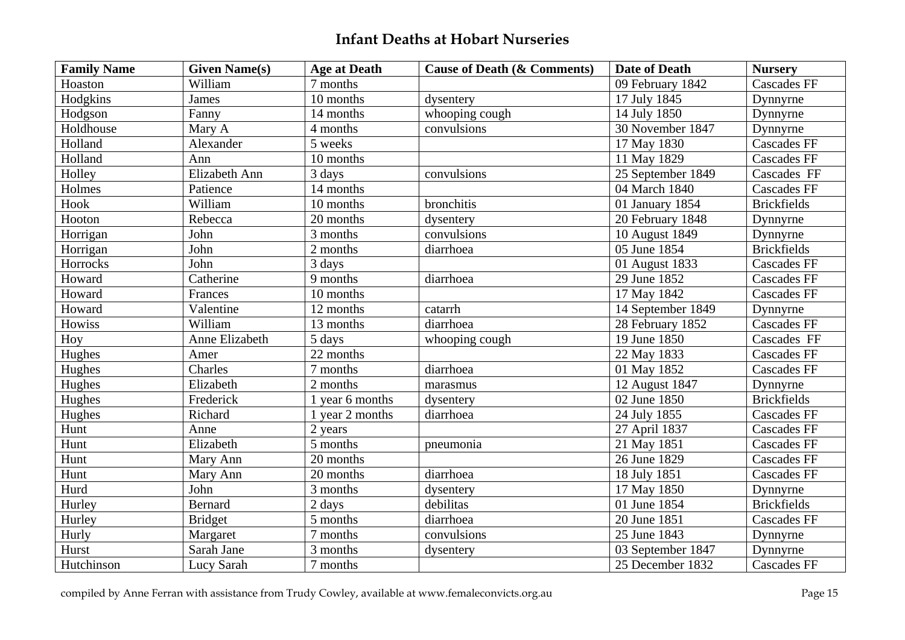| <b>Family Name</b> | <b>Given Name(s)</b> | <b>Age at Death</b>          | <b>Cause of Death (&amp; Comments)</b> | <b>Date of Death</b> | <b>Nursery</b>     |
|--------------------|----------------------|------------------------------|----------------------------------------|----------------------|--------------------|
| Hoaston            | William              | 7 months                     |                                        | 09 February 1842     | <b>Cascades FF</b> |
| Hodgkins           | James                | 10 months                    | dysentery                              | 17 July 1845         | Dynnyrne           |
| Hodgson            | Fanny                | 14 months                    | whooping cough                         | 14 July 1850         | Dynnyrne           |
| Holdhouse          | Mary A               | 4 months                     | convulsions                            | 30 November 1847     | Dynnyrne           |
| Holland            | Alexander            | 5 weeks                      |                                        | 17 May 1830          | <b>Cascades FF</b> |
| Holland            | Ann                  | 10 months                    |                                        | 11 May 1829          | <b>Cascades FF</b> |
| Holley             | Elizabeth Ann        | 3 days                       | convulsions                            | 25 September 1849    | Cascades FF        |
| Holmes             | Patience             | 14 months                    |                                        | 04 March 1840        | <b>Cascades FF</b> |
| Hook               | William              | 10 months                    | bronchitis                             | 01 January 1854      | <b>Brickfields</b> |
| Hooton             | Rebecca              | 20 months                    | dysentery                              | 20 February 1848     | Dynnyrne           |
| Horrigan           | John                 | 3 months                     | convulsions                            | 10 August 1849       | Dynnyrne           |
| Horrigan           | John                 | 2 months                     | diarrhoea                              | 05 June 1854         | <b>Brickfields</b> |
| Horrocks           | John                 | 3 days                       |                                        | 01 August 1833       | <b>Cascades FF</b> |
| Howard             | Catherine            | 9 months                     | diarrhoea                              | 29 June 1852         | <b>Cascades FF</b> |
| Howard             | Frances              | 10 months                    |                                        | 17 May 1842          | <b>Cascades FF</b> |
| Howard             | Valentine            | 12 months                    | catarrh                                | 14 September 1849    | Dynnyrne           |
| Howiss             | William              | 13 months                    | diarrhoea                              | 28 February 1852     | <b>Cascades FF</b> |
| Hoy                | Anne Elizabeth       | 5 days                       | whooping cough                         | 19 June 1850         | Cascades FF        |
| Hughes             | Amer                 | 22 months                    |                                        | 22 May 1833          | Cascades FF        |
| Hughes             | Charles              | 7 months                     | diarrhoea                              | 01 May 1852          | <b>Cascades FF</b> |
| Hughes             | Elizabeth            | 2 months                     | marasmus                               | 12 August 1847       | Dynnyrne           |
| Hughes             | Frederick            | 1 year 6 months              | dysentery                              | 02 June 1850         | <b>Brickfields</b> |
| Hughes             | Richard              | $\overline{1}$ year 2 months | diarrhoea                              | 24 July 1855         | <b>Cascades FF</b> |
| Hunt               | Anne                 | 2 years                      |                                        | 27 April 1837        | <b>Cascades FF</b> |
| Hunt               | Elizabeth            | 5 months                     | pneumonia                              | 21 May 1851          | <b>Cascades FF</b> |
| Hunt               | Mary Ann             | 20 months                    |                                        | 26 June 1829         | <b>Cascades FF</b> |
| Hunt               | Mary Ann             | 20 months                    | diarrhoea                              | 18 July 1851         | <b>Cascades FF</b> |
| Hurd               | John                 | 3 months                     | dysentery                              | 17 May 1850          | Dynnyrne           |
| Hurley             | Bernard              | 2 days                       | debilitas                              | 01 June 1854         | <b>Brickfields</b> |
| Hurley             | <b>Bridget</b>       | 5 months                     | diarrhoea                              | 20 June 1851         | <b>Cascades FF</b> |
| Hurly              | Margaret             | 7 months                     | convulsions                            | 25 June 1843         | Dynnyrne           |
| Hurst              | Sarah Jane           | 3 months                     | dysentery                              | 03 September 1847    | Dynnyrne           |
| Hutchinson         | Lucy Sarah           | 7 months                     |                                        | 25 December 1832     | <b>Cascades FF</b> |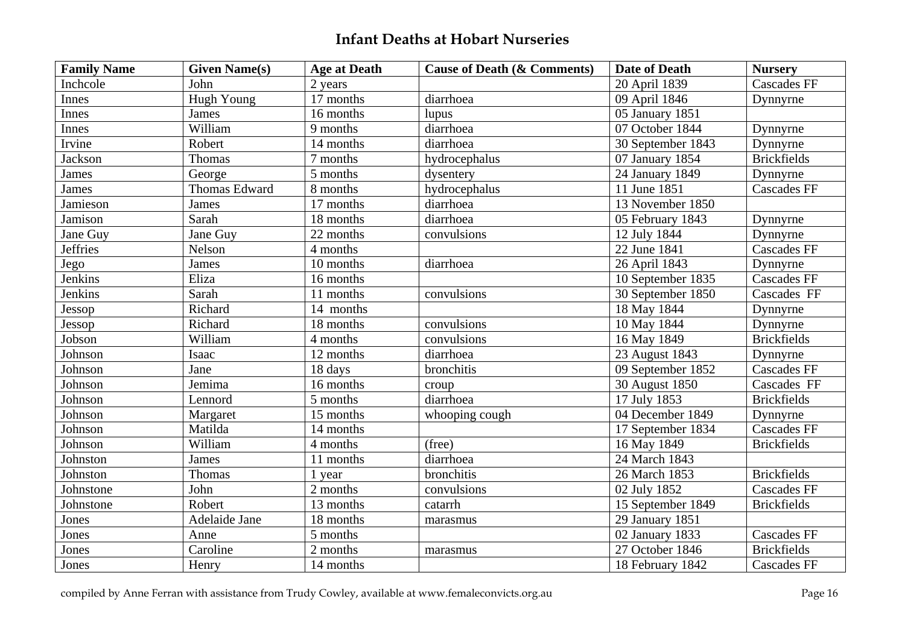| <b>Family Name</b> | <b>Given Name(s)</b> | <b>Age at Death</b> | <b>Cause of Death (&amp; Comments)</b> | <b>Date of Death</b> | <b>Nursery</b>     |
|--------------------|----------------------|---------------------|----------------------------------------|----------------------|--------------------|
| Inchcole           | John                 | 2 years             |                                        | 20 April 1839        | <b>Cascades FF</b> |
| Innes              | Hugh Young           | 17 months           | diarrhoea                              | 09 April 1846        | Dynnyrne           |
| Innes              | James                | 16 months           | lupus                                  | 05 January 1851      |                    |
| Innes              | William              | 9 months            | diarrhoea                              | 07 October 1844      | Dynnyrne           |
| Irvine             | Robert               | 14 months           | diarrhoea                              | 30 September 1843    | Dynnyrne           |
| Jackson            | Thomas               | 7 months            | hydrocephalus                          | 07 January 1854      | <b>Brickfields</b> |
| James              | George               | 5 months            | dysentery                              | 24 January 1849      | Dynnyrne           |
| James              | Thomas Edward        | 8 months            | hydrocephalus                          | 11 June 1851         | <b>Cascades FF</b> |
| Jamieson           | James                | 17 months           | diarrhoea                              | 13 November 1850     |                    |
| Jamison            | Sarah                | 18 months           | diarrhoea                              | 05 February 1843     | Dynnyrne           |
| Jane Guy           | Jane Guy             | 22 months           | convulsions                            | 12 July 1844         | Dynnyrne           |
| <b>Jeffries</b>    | Nelson               | 4 months            |                                        | 22 June 1841         | <b>Cascades FF</b> |
| Jego               | James                | 10 months           | diarrhoea                              | 26 April 1843        | Dynnyrne           |
| Jenkins            | Eliza                | 16 months           |                                        | 10 September 1835    | <b>Cascades FF</b> |
| Jenkins            | Sarah                | 11 months           | convulsions                            | 30 September 1850    | Cascades FF        |
| Jessop             | Richard              | 14 months           |                                        | 18 May 1844          | Dynnyrne           |
| Jessop             | Richard              | 18 months           | convulsions                            | 10 May 1844          | Dynnyrne           |
| Jobson             | William              | 4 months            | convulsions                            | 16 May 1849          | <b>Brickfields</b> |
| Johnson            | Isaac                | 12 months           | diarrhoea                              | 23 August 1843       | Dynnyrne           |
| Johnson            | Jane                 | 18 days             | bronchitis                             | 09 September 1852    | <b>Cascades FF</b> |
| Johnson            | Jemima               | 16 months           | croup                                  | 30 August 1850       | Cascades FF        |
| Johnson            | Lennord              | 5 months            | diarrhoea                              | 17 July 1853         | <b>Brickfields</b> |
| Johnson            | Margaret             | 15 months           | whooping cough                         | 04 December 1849     | Dynnyrne           |
| Johnson            | Matilda              | 14 months           |                                        | 17 September 1834    | <b>Cascades FF</b> |
| Johnson            | William              | 4 months            | (free)                                 | 16 May 1849          | <b>Brickfields</b> |
| Johnston           | James                | 11 months           | diarrhoea                              | 24 March 1843        |                    |
| Johnston           | Thomas               | year                | bronchitis                             | 26 March 1853        | <b>Brickfields</b> |
| Johnstone          | John                 | 2 months            | convulsions                            | 02 July 1852         | <b>Cascades FF</b> |
| Johnstone          | Robert               | 13 months           | catarrh                                | 15 September 1849    | <b>Brickfields</b> |
| Jones              | Adelaide Jane        | 18 months           | marasmus                               | 29 January 1851      |                    |
| Jones              | Anne                 | 5 months            |                                        | 02 January 1833      | <b>Cascades FF</b> |
| Jones              | Caroline             | 2 months            | marasmus                               | 27 October 1846      | <b>Brickfields</b> |
| Jones              | Henry                | 14 months           |                                        | 18 February 1842     | <b>Cascades FF</b> |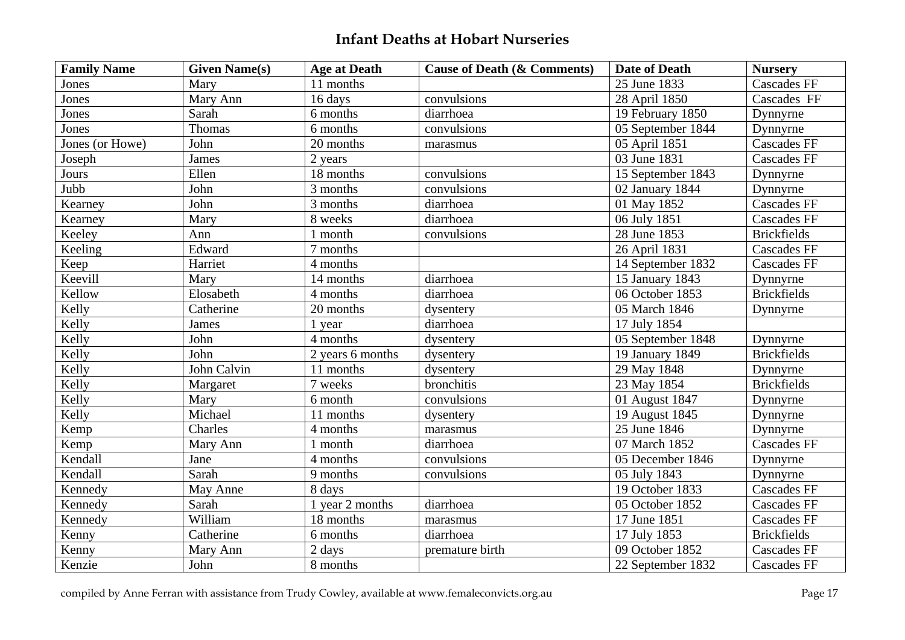| <b>Family Name</b> | <b>Given Name(s)</b> | <b>Age at Death</b> | <b>Cause of Death (&amp; Comments)</b> | <b>Date of Death</b> | <b>Nursery</b>     |
|--------------------|----------------------|---------------------|----------------------------------------|----------------------|--------------------|
| Jones              | Mary                 | 11 months           |                                        | 25 June 1833         | <b>Cascades FF</b> |
| Jones              | Mary Ann             | 16 days             | convulsions                            | 28 April 1850        | Cascades FF        |
| Jones              | Sarah                | 6 months            | diarrhoea                              | 19 February 1850     | Dynnyrne           |
| Jones              | Thomas               | 6 months            | convulsions                            | 05 September 1844    | Dynnyrne           |
| Jones (or Howe)    | John                 | 20 months           | marasmus                               | 05 April 1851        | <b>Cascades FF</b> |
| Joseph             | James                | 2 years             |                                        | 03 June 1831         | <b>Cascades FF</b> |
| Jours              | Ellen                | 18 months           | convulsions                            | 15 September 1843    | Dynnyrne           |
| Jubb               | John                 | 3 months            | convulsions                            | 02 January 1844      | Dynnyrne           |
| Kearney            | John                 | 3 months            | diarrhoea                              | 01 May 1852          | <b>Cascades FF</b> |
| Kearney            | Mary                 | 8 weeks             | diarrhoea                              | 06 July 1851         | <b>Cascades FF</b> |
| Keeley             | Ann                  | 1 month             | convulsions                            | 28 June 1853         | <b>Brickfields</b> |
| Keeling            | Edward               | 7 months            |                                        | 26 April 1831        | <b>Cascades FF</b> |
| Keep               | Harriet              | 4 months            |                                        | 14 September 1832    | <b>Cascades FF</b> |
| Keevill            | Mary                 | 14 months           | diarrhoea                              | 15 January 1843      | Dynnyrne           |
| Kellow             | Elosabeth            | 4 months            | diarrhoea                              | 06 October 1853      | <b>Brickfields</b> |
| Kelly              | Catherine            | 20 months           | dysentery                              | 05 March 1846        | Dynnyrne           |
| Kelly              | James                | 1 year              | diarrhoea                              | 17 July 1854         |                    |
| Kelly              | John                 | 4 months            | dysentery                              | 05 September 1848    | Dynnyrne           |
| Kelly              | John                 | 2 years 6 months    | dysentery                              | 19 January 1849      | <b>Brickfields</b> |
| Kelly              | John Calvin          | 11 months           | dysentery                              | 29 May 1848          | Dynnyrne           |
| Kelly              | Margaret             | 7 weeks             | bronchitis                             | 23 May 1854          | <b>Brickfields</b> |
| Kelly              | Mary                 | 6 month             | convulsions                            | 01 August 1847       | Dynnyrne           |
| Kelly              | Michael              | 11 months           | dysentery                              | 19 August 1845       | Dynnyrne           |
| Kemp               | Charles              | 4 months            | marasmus                               | 25 June 1846         | Dynnyrne           |
| Kemp               | Mary Ann             | 1 month             | diarrhoea                              | 07 March 1852        | <b>Cascades FF</b> |
| Kendall            | Jane                 | 4 months            | convulsions                            | 05 December 1846     | Dynnyrne           |
| Kendall            | Sarah                | 9 months            | convulsions                            | 05 July 1843         | Dynnyrne           |
| Kennedy            | May Anne             | 8 days              |                                        | 19 October 1833      | <b>Cascades FF</b> |
| Kennedy            | Sarah                | 1 year 2 months     | diarrhoea                              | 05 October 1852      | <b>Cascades FF</b> |
| Kennedy            | William              | 18 months           | marasmus                               | 17 June 1851         | <b>Cascades FF</b> |
| Kenny              | Catherine            | 6 months            | diarrhoea                              | 17 July 1853         | <b>Brickfields</b> |
| Kenny              | Mary Ann             | 2 days              | premature birth                        | 09 October 1852      | <b>Cascades FF</b> |
| Kenzie             | John                 | 8 months            |                                        | 22 September 1832    | <b>Cascades FF</b> |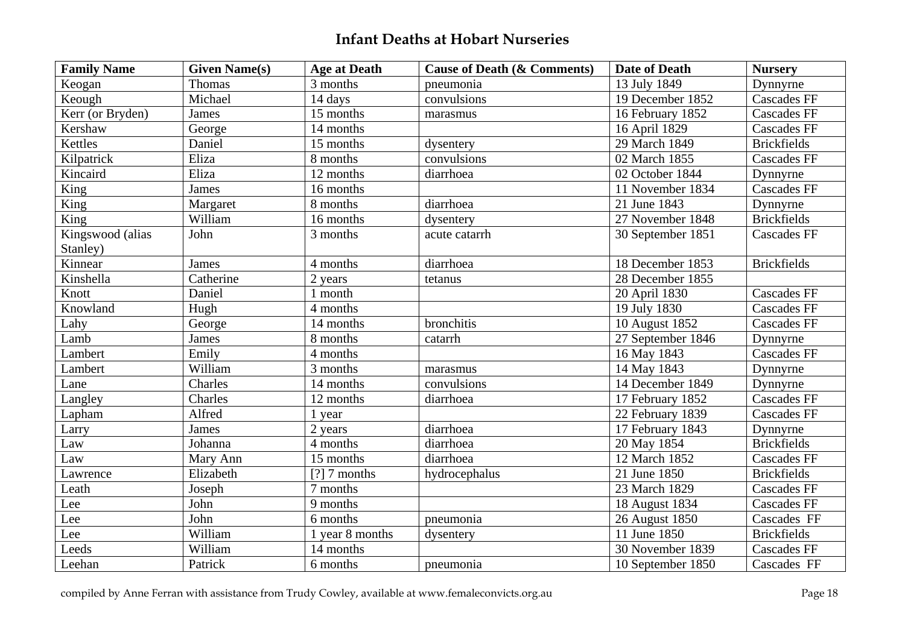| <b>Family Name</b>           | <b>Given Name(s)</b> | <b>Age at Death</b> | <b>Cause of Death (&amp; Comments)</b> | <b>Date of Death</b> | <b>Nursery</b>     |
|------------------------------|----------------------|---------------------|----------------------------------------|----------------------|--------------------|
| Keogan                       | <b>Thomas</b>        | 3 months            | pneumonia                              | 13 July 1849         | Dynnyrne           |
| Keough                       | Michael              | 14 days             | convulsions                            | 19 December 1852     | <b>Cascades FF</b> |
| Kerr (or Bryden)             | James                | 15 months           | marasmus                               | 16 February 1852     | <b>Cascades FF</b> |
| Kershaw                      | George               | 14 months           |                                        | 16 April 1829        | <b>Cascades FF</b> |
| Kettles                      | Daniel               | 15 months           | dysentery                              | 29 March 1849        | <b>Brickfields</b> |
| Kilpatrick                   | Eliza                | 8 months            | convulsions                            | 02 March 1855        | <b>Cascades FF</b> |
| Kincaird                     | Eliza                | 12 months           | diarrhoea                              | 02 October 1844      | Dynnyrne           |
| King                         | James                | 16 months           |                                        | 11 November 1834     | <b>Cascades FF</b> |
| King                         | Margaret             | 8 months            | diarrhoea                              | 21 June 1843         | Dynnyrne           |
| King                         | William              | 16 months           | dysentery                              | 27 November 1848     | <b>Brickfields</b> |
| Kingswood (alias<br>Stanley) | John                 | 3 months            | acute catarrh                          | 30 September 1851    | <b>Cascades FF</b> |
| Kinnear                      | James                | 4 months            | diarrhoea                              | 18 December 1853     | <b>Brickfields</b> |
| Kinshella                    | Catherine            | 2 years             | tetanus                                | 28 December 1855     |                    |
| Knott                        | Daniel               | 1 month             |                                        | 20 April 1830        | <b>Cascades FF</b> |
| Knowland                     | Hugh                 | 4 months            |                                        | 19 July 1830         | <b>Cascades FF</b> |
| Lahy                         | George               | 14 months           | bronchitis                             | 10 August 1852       | <b>Cascades FF</b> |
| Lamb                         | James                | 8 months            | catarrh                                | 27 September 1846    | Dynnyrne           |
| Lambert                      | Emily                | 4 months            |                                        | 16 May 1843          | <b>Cascades FF</b> |
| Lambert                      | William              | 3 months            | marasmus                               | 14 May 1843          | Dynnyrne           |
| Lane                         | Charles              | 14 months           | convulsions                            | 14 December 1849     | Dynnyrne           |
| Langley                      | Charles              | 12 months           | diarrhoea                              | 17 February 1852     | <b>Cascades FF</b> |
| Lapham                       | Alfred               | 1 year              |                                        | 22 February 1839     | <b>Cascades FF</b> |
| Larry                        | James                | 2 years             | diarrhoea                              | 17 February 1843     | Dynnyrne           |
| Law                          | Johanna              | 4 months            | diarrhoea                              | 20 May 1854          | <b>Brickfields</b> |
| Law                          | Mary Ann             | 15 months           | diarrhoea                              | 12 March 1852        | <b>Cascades FF</b> |
| Lawrence                     | Elizabeth            | $[?]$ 7 months      | hydrocephalus                          | 21 June 1850         | <b>Brickfields</b> |
| Leath                        | Joseph               | 7 months            |                                        | 23 March 1829        | <b>Cascades FF</b> |
| Lee                          | John                 | 9 months            |                                        | 18 August 1834       | <b>Cascades FF</b> |
| Lee                          | John                 | 6 months            | pneumonia                              | 26 August 1850       | Cascades FF        |
| Lee                          | William              | 1 year 8 months     | dysentery                              | 11 June 1850         | <b>Brickfields</b> |
| Leeds                        | William              | 14 months           |                                        | 30 November 1839     | <b>Cascades FF</b> |
| Leehan                       | Patrick              | 6 months            | pneumonia                              | 10 September 1850    | Cascades FF        |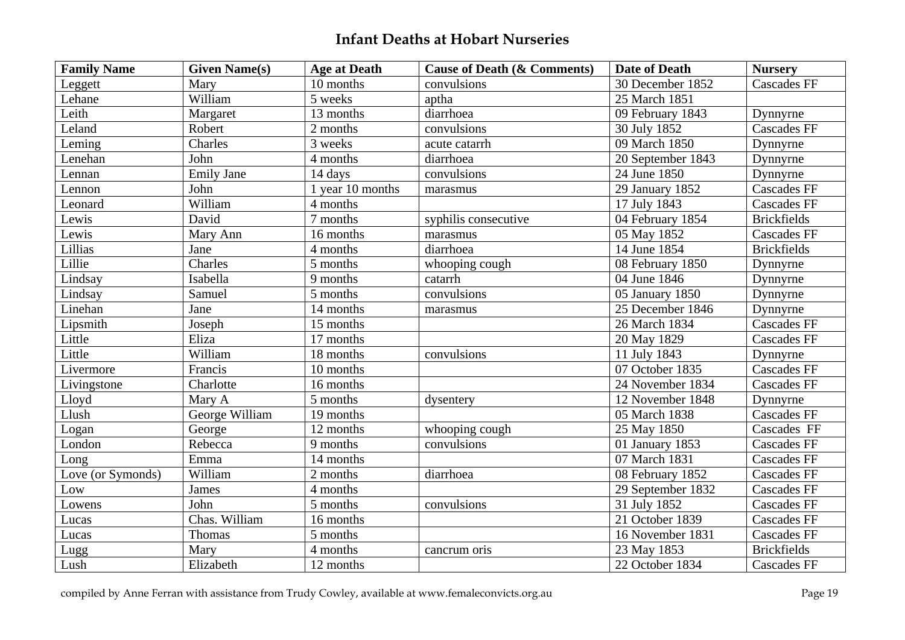| <b>Family Name</b> | <b>Given Name(s)</b> | <b>Age at Death</b>    | <b>Cause of Death (&amp; Comments)</b> | <b>Date of Death</b> | <b>Nursery</b>     |
|--------------------|----------------------|------------------------|----------------------------------------|----------------------|--------------------|
| Leggett            | Mary                 | 10 months              | convulsions                            | 30 December 1852     | <b>Cascades FF</b> |
| Lehane             | William              | 5 weeks                | aptha                                  | 25 March 1851        |                    |
| Leith              | Margaret             | 13 months              | diarrhoea                              | 09 February 1843     | Dynnyrne           |
| Leland             | Robert               | 2 months               | convulsions                            | 30 July 1852         | <b>Cascades FF</b> |
| Leming             | Charles              | 3 weeks                | acute catarrh                          | 09 March 1850        | Dynnyrne           |
| Lenehan            | John                 | 4 months               | diarrhoea                              | 20 September 1843    | Dynnyrne           |
| Lennan             | <b>Emily Jane</b>    | 14 days                | convulsions                            | 24 June 1850         | Dynnyrne           |
| Lennon             | John                 | 1 year 10 months       | marasmus                               | 29 January 1852      | <b>Cascades FF</b> |
| Leonard            | William              | 4 months               |                                        | 17 July 1843         | <b>Cascades FF</b> |
| Lewis              | David                | 7 months               | syphilis consecutive                   | 04 February 1854     | <b>Brickfields</b> |
| Lewis              | Mary Ann             | 16 months              | marasmus                               | 05 May 1852          | <b>Cascades FF</b> |
| Lillias            | Jane                 | 4 months               | diarrhoea                              | 14 June 1854         | <b>Brickfields</b> |
| Lillie             | Charles              | 5 months               | whooping cough                         | 08 February 1850     | Dynnyrne           |
| Lindsay            | Isabella             | 9 months               | catarrh                                | 04 June 1846         | Dynnyrne           |
| Lindsay            | Samuel               | 5 months               | convulsions                            | 05 January 1850      | Dynnyrne           |
| Linehan            | Jane                 | 14 months              | marasmus                               | 25 December 1846     | Dynnyrne           |
| Lipsmith           | Joseph               | 15 months              |                                        | 26 March 1834        | <b>Cascades FF</b> |
| Little             | Eliza                | 17 months              |                                        | 20 May 1829          | <b>Cascades FF</b> |
| Little             | William              | 18 months              | convulsions                            | 11 July 1843         | Dynnyrne           |
| Livermore          | Francis              | 10 months              |                                        | 07 October 1835      | <b>Cascades FF</b> |
| Livingstone        | Charlotte            | 16 months              |                                        | 24 November 1834     | <b>Cascades FF</b> |
| Lloyd              | Mary A               | 5 months               | dysentery                              | 12 November 1848     | Dynnyrne           |
| Llush              | George William       | $\overline{19}$ months |                                        | 05 March 1838        | <b>Cascades FF</b> |
| Logan              | George               | 12 months              | whooping cough                         | 25 May 1850          | Cascades FF        |
| London             | Rebecca              | 9 months               | convulsions                            | 01 January 1853      | <b>Cascades FF</b> |
| Long               | Emma                 | 14 months              |                                        | 07 March 1831        | <b>Cascades FF</b> |
| Love (or Symonds)  | William              | 2 months               | diarrhoea                              | 08 February 1852     | <b>Cascades FF</b> |
| Low                | James                | 4 months               |                                        | 29 September 1832    | <b>Cascades FF</b> |
| Lowens             | John                 | 5 months               | convulsions                            | 31 July 1852         | <b>Cascades FF</b> |
| Lucas              | Chas. William        | 16 months              |                                        | 21 October 1839      | <b>Cascades FF</b> |
| Lucas              | Thomas               | 5 months               |                                        | 16 November 1831     | <b>Cascades FF</b> |
| Lugg               | Mary                 | 4 months               | cancrum oris                           | 23 May 1853          | <b>Brickfields</b> |
| Lush               | Elizabeth            | 12 months              |                                        | 22 October 1834      | <b>Cascades FF</b> |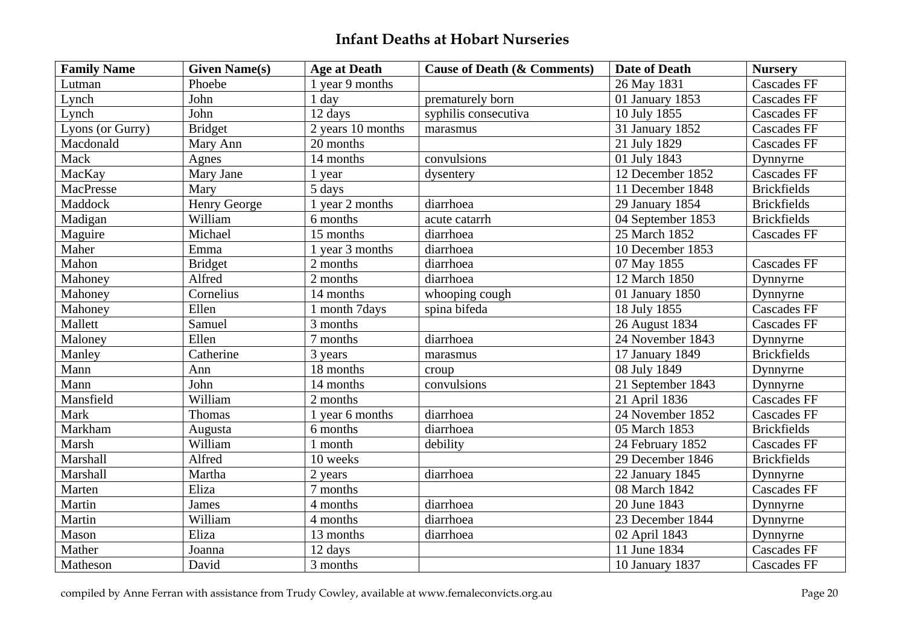| <b>Family Name</b> | <b>Given Name(s)</b> | <b>Age at Death</b> | <b>Cause of Death (&amp; Comments)</b> | <b>Date of Death</b>          | <b>Nursery</b>     |
|--------------------|----------------------|---------------------|----------------------------------------|-------------------------------|--------------------|
| Lutman             | Phoebe               | 1 year 9 months     |                                        | 26 May 1831                   | <b>Cascades FF</b> |
| Lynch              | John                 | 1 day               | prematurely born                       | 01 January 1853               | <b>Cascades FF</b> |
| Lynch              | John                 | 12 days             | syphilis consecutiva                   | 10 July 1855                  | Cascades FF        |
| Lyons (or Gurry)   | <b>Bridget</b>       | 2 years 10 months   | marasmus                               | 31 January 1852               | <b>Cascades FF</b> |
| Macdonald          | Mary Ann             | 20 months           |                                        | 21 July 1829                  | <b>Cascades FF</b> |
| Mack               | Agnes                | 14 months           | convulsions                            | 01 July 1843                  | Dynnyrne           |
| MacKay             | Mary Jane            | 1 year              | dysentery                              | 12 December 1852              | <b>Cascades FF</b> |
| MacPresse          | Mary                 | 5 days              |                                        | 11 December 1848              | <b>Brickfields</b> |
| Maddock            | Henry George         | 1 year 2 months     | diarrhoea                              | 29 January 1854               | <b>Brickfields</b> |
| Madigan            | William              | 6 months            | acute catarrh                          | 04 September 1853             | <b>Brickfields</b> |
| Maguire            | Michael              | 15 months           | diarrhoea                              | 25 March 1852                 | <b>Cascades FF</b> |
| Maher              | Emma                 | 1 year 3 months     | diarrhoea                              | $\overline{10}$ December 1853 |                    |
| Mahon              | <b>Bridget</b>       | 2 months            | diarrhoea                              | 07 May 1855                   | <b>Cascades FF</b> |
| Mahoney            | Alfred               | 2 months            | diarrhoea                              | 12 March 1850                 | Dynnyrne           |
| Mahoney            | Cornelius            | 14 months           | whooping cough                         | 01 January 1850               | Dynnyrne           |
| Mahoney            | Ellen                | 1 month 7days       | spina bifeda                           | 18 July 1855                  | <b>Cascades FF</b> |
| Mallett            | Samuel               | 3 months            |                                        | 26 August 1834                | <b>Cascades FF</b> |
| Maloney            | Ellen                | 7 months            | diarrhoea                              | 24 November 1843              | Dynnyrne           |
| Manley             | Catherine            | 3 years             | marasmus                               | 17 January 1849               | <b>Brickfields</b> |
| Mann               | Ann                  | 18 months           | croup                                  | 08 July 1849                  | Dynnyrne           |
| Mann               | John                 | 14 months           | convulsions                            | 21 September 1843             | Dynnyrne           |
| Mansfield          | William              | 2 months            |                                        | 21 April 1836                 | <b>Cascades FF</b> |
| Mark               | Thomas               | 1 year 6 months     | diarrhoea                              | 24 November 1852              | <b>Cascades FF</b> |
| Markham            | Augusta              | 6 months            | diarrhoea                              | 05 March 1853                 | <b>Brickfields</b> |
| Marsh              | William              | 1 month             | debility                               | 24 February 1852              | <b>Cascades FF</b> |
| Marshall           | Alfred               | 10 weeks            |                                        | 29 December 1846              | <b>Brickfields</b> |
| Marshall           | Martha               | 2 years             | diarrhoea                              | 22 January 1845               | Dynnyrne           |
| Marten             | Eliza                | 7 months            |                                        | 08 March 1842                 | <b>Cascades FF</b> |
| Martin             | James                | 4 months            | diarrhoea                              | 20 June 1843                  | Dynnyrne           |
| Martin             | William              | 4 months            | diarrhoea                              | 23 December 1844              | Dynnyrne           |
| Mason              | Eliza                | 13 months           | diarrhoea                              | 02 April 1843                 | Dynnyrne           |
| Mather             | Joanna               | 12 days             |                                        | 11 June 1834                  | <b>Cascades FF</b> |
| Matheson           | David                | 3 months            |                                        | 10 January 1837               | <b>Cascades FF</b> |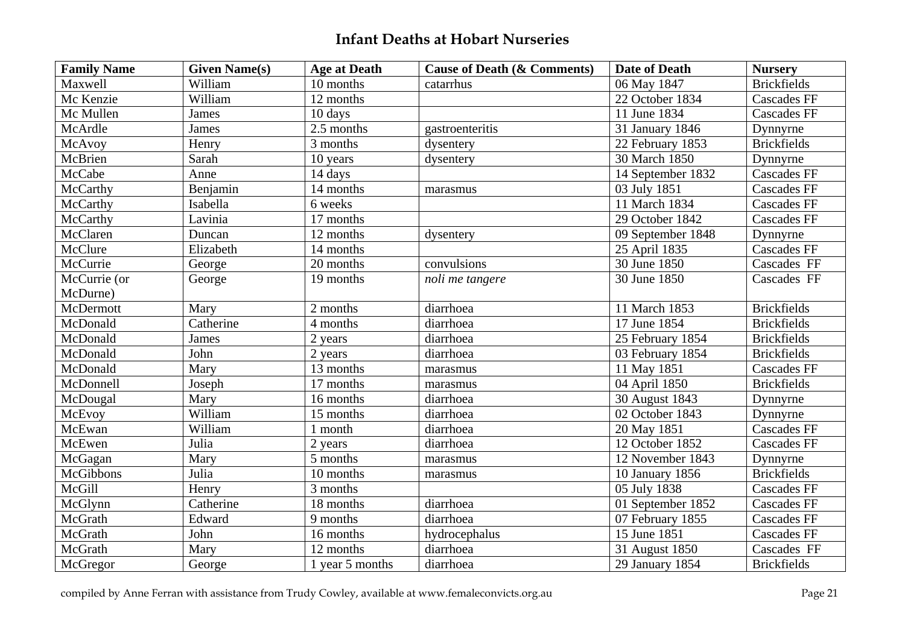| <b>Family Name</b> | <b>Given Name(s)</b> | <b>Age at Death</b> | <b>Cause of Death (&amp; Comments)</b> | <b>Date of Death</b> | <b>Nursery</b>     |
|--------------------|----------------------|---------------------|----------------------------------------|----------------------|--------------------|
| Maxwell            | William              | 10 months           | catarrhus                              | 06 May 1847          | <b>Brickfields</b> |
| Mc Kenzie          | William              | 12 months           |                                        | 22 October 1834      | <b>Cascades FF</b> |
| Mc Mullen          | James                | 10 days             |                                        | 11 June 1834         | <b>Cascades FF</b> |
| McArdle            | James                | 2.5 months          | gastroenteritis                        | 31 January 1846      | Dynnyrne           |
| McAvoy             | Henry                | 3 months            | dysentery                              | 22 February 1853     | <b>Brickfields</b> |
| McBrien            | Sarah                | 10 years            | dysentery                              | 30 March 1850        | Dynnyrne           |
| McCabe             | Anne                 | 14 days             |                                        | 14 September 1832    | <b>Cascades FF</b> |
| McCarthy           | Benjamin             | 14 months           | marasmus                               | 03 July 1851         | <b>Cascades FF</b> |
| McCarthy           | Isabella             | 6 weeks             |                                        | 11 March 1834        | <b>Cascades FF</b> |
| McCarthy           | Lavinia              | 17 months           |                                        | 29 October 1842      | <b>Cascades FF</b> |
| McClaren           | Duncan               | 12 months           | dysentery                              | 09 September 1848    | Dynnyrne           |
| McClure            | Elizabeth            | 14 months           |                                        | 25 April 1835        | <b>Cascades FF</b> |
| McCurrie           | George               | 20 months           | convulsions                            | 30 June 1850         | Cascades FF        |
| McCurrie (or       | George               | 19 months           | noli me tangere                        | 30 June 1850         | Cascades FF        |
| McDurne)           |                      |                     |                                        |                      |                    |
| McDermott          | Mary                 | 2 months            | diarrhoea                              | 11 March 1853        | <b>Brickfields</b> |
| McDonald           | Catherine            | 4 months            | diarrhoea                              | 17 June 1854         | <b>Brickfields</b> |
| McDonald           | <b>James</b>         | 2 years             | diarrhoea                              | 25 February 1854     | <b>Brickfields</b> |
| McDonald           | John                 | 2 years             | diarrhoea                              | 03 February 1854     | <b>Brickfields</b> |
| McDonald           | Mary                 | 13 months           | marasmus                               | 11 May 1851          | Cascades FF        |
| McDonnell          | Joseph               | 17 months           | marasmus                               | 04 April 1850        | <b>Brickfields</b> |
| McDougal           | Mary                 | 16 months           | diarrhoea                              | 30 August 1843       | Dynnyrne           |
| McEvoy             | William              | 15 months           | diarrhoea                              | 02 October 1843      | Dynnyrne           |
| McEwan             | William              | 1 month             | diarrhoea                              | 20 May 1851          | <b>Cascades FF</b> |
| McEwen             | Julia                | 2 years             | diarrhoea                              | 12 October 1852      | <b>Cascades FF</b> |
| McGagan            | Mary                 | 5 months            | marasmus                               | 12 November 1843     | Dynnyrne           |
| <b>McGibbons</b>   | Julia                | 10 months           | marasmus                               | 10 January 1856      | <b>Brickfields</b> |
| McGill             | Henry                | 3 months            |                                        | 05 July 1838         | <b>Cascades FF</b> |
| McGlynn            | Catherine            | 18 months           | diarrhoea                              | 01 September 1852    | <b>Cascades FF</b> |
| McGrath            | Edward               | 9 months            | diarrhoea                              | 07 February 1855     | <b>Cascades FF</b> |
| McGrath            | John                 | 16 months           | hydrocephalus                          | 15 June 1851         | <b>Cascades FF</b> |
| McGrath            | Mary                 | 12 months           | diarrhoea                              | 31 August 1850       | Cascades FF        |
| McGregor           | George               | 1 year 5 months     | diarrhoea                              | 29 January 1854      | <b>Brickfields</b> |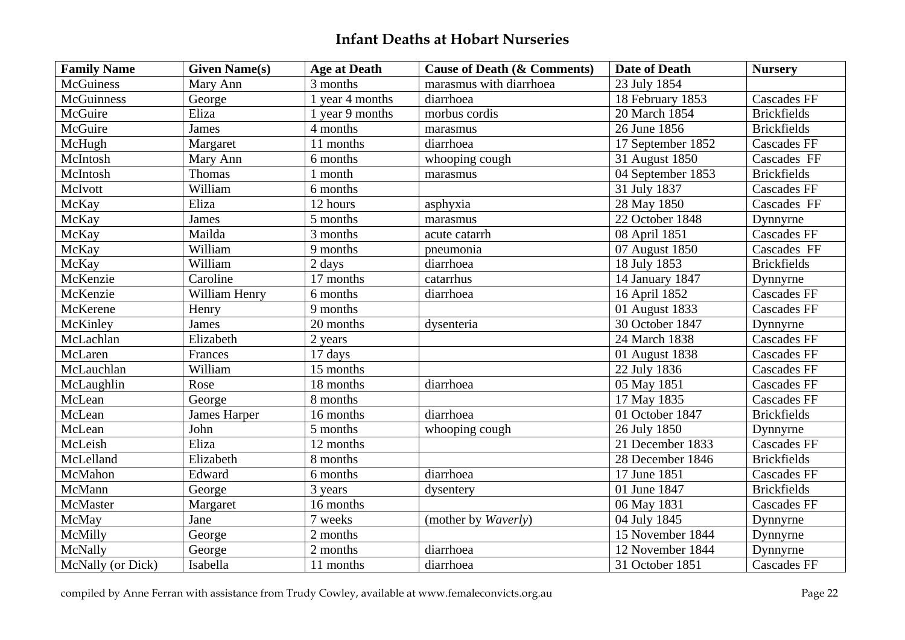| <b>Family Name</b> | <b>Given Name(s)</b> | <b>Age at Death</b> | <b>Cause of Death (&amp; Comments)</b> | Date of Death     | <b>Nursery</b>     |
|--------------------|----------------------|---------------------|----------------------------------------|-------------------|--------------------|
| McGuiness          | Mary Ann             | 3 months            | marasmus with diarrhoea                | 23 July 1854      |                    |
| McGuinness         | George               | 1 year 4 months     | diarrhoea                              | 18 February 1853  | <b>Cascades FF</b> |
| McGuire            | Eliza                | 1 year 9 months     | morbus cordis                          | 20 March 1854     | <b>Brickfields</b> |
| McGuire            | James                | 4 months            | marasmus                               | 26 June 1856      | <b>Brickfields</b> |
| McHugh             | Margaret             | 11 months           | diarrhoea                              | 17 September 1852 | <b>Cascades FF</b> |
| McIntosh           | Mary Ann             | 6 months            | whooping cough                         | 31 August 1850    | Cascades FF        |
| McIntosh           | Thomas               | 1 month             | marasmus                               | 04 September 1853 | <b>Brickfields</b> |
| McIvott            | William              | 6 months            |                                        | 31 July 1837      | <b>Cascades FF</b> |
| McKay              | Eliza                | 12 hours            | asphyxia                               | 28 May 1850       | Cascades FF        |
| McKay              | James                | 5 months            | marasmus                               | 22 October 1848   | Dynnyrne           |
| McKay              | Mailda               | 3 months            | acute catarrh                          | 08 April 1851     | <b>Cascades FF</b> |
| McKay              | William              | 9 months            | pneumonia                              | 07 August 1850    | Cascades FF        |
| McKay              | William              | 2 days              | diarrhoea                              | 18 July 1853      | <b>Brickfields</b> |
| McKenzie           | Caroline             | 17 months           | catarrhus                              | 14 January 1847   | Dynnyrne           |
| McKenzie           | William Henry        | 6 months            | diarrhoea                              | 16 April 1852     | <b>Cascades FF</b> |
| McKerene           | Henry                | 9 months            |                                        | 01 August 1833    | <b>Cascades FF</b> |
| McKinley           | James                | 20 months           | dysenteria                             | 30 October 1847   | Dynnyrne           |
| McLachlan          | Elizabeth            | 2 years             |                                        | 24 March 1838     | <b>Cascades FF</b> |
| McLaren            | Frances              | 17 days             |                                        | 01 August 1838    | <b>Cascades FF</b> |
| McLauchlan         | William              | 15 months           |                                        | 22 July 1836      | <b>Cascades FF</b> |
| McLaughlin         | Rose                 | 18 months           | diarrhoea                              | 05 May 1851       | <b>Cascades FF</b> |
| McLean             | George               | 8 months            |                                        | 17 May 1835       | <b>Cascades FF</b> |
| McLean             | James Harper         | 16 months           | diarrhoea                              | 01 October 1847   | <b>Brickfields</b> |
| McLean             | John                 | 5 months            | whooping cough                         | 26 July 1850      | Dynnyrne           |
| McLeish            | Eliza                | 12 months           |                                        | 21 December 1833  | <b>Cascades FF</b> |
| McLelland          | Elizabeth            | 8 months            |                                        | 28 December 1846  | <b>Brickfields</b> |
| McMahon            | Edward               | 6 months            | diarrhoea                              | 17 June 1851      | <b>Cascades FF</b> |
| McMann             | George               | 3 years             | dysentery                              | 01 June 1847      | <b>Brickfields</b> |
| McMaster           | Margaret             | 16 months           |                                        | 06 May 1831       | <b>Cascades FF</b> |
| McMay              | Jane                 | 7 weeks             | (mother by Waverly)                    | 04 July 1845      | Dynnyrne           |
| McMilly            | George               | 2 months            |                                        | 15 November 1844  | Dynnyrne           |
| McNally            | George               | 2 months            | diarrhoea                              | 12 November 1844  | Dynnyrne           |
| McNally (or Dick)  | Isabella             | 11 months           | diarrhoea                              | 31 October 1851   | <b>Cascades FF</b> |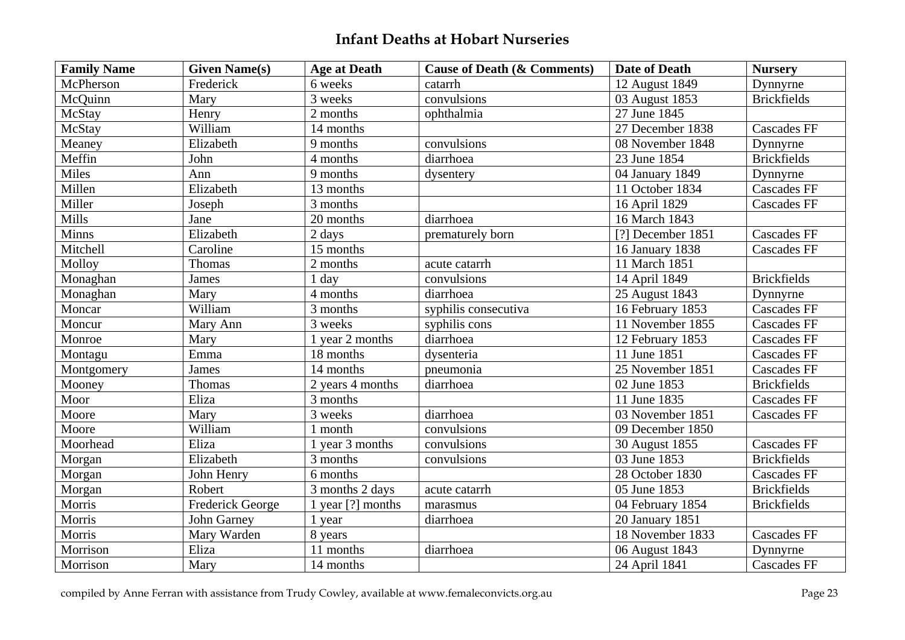| <b>Family Name</b> | <b>Given Name(s)</b>    | <b>Age at Death</b> | <b>Cause of Death (&amp; Comments)</b> | <b>Date of Death</b> | <b>Nursery</b>     |
|--------------------|-------------------------|---------------------|----------------------------------------|----------------------|--------------------|
| McPherson          | Frederick               | 6 weeks             | catarrh                                | 12 August 1849       | Dynnyrne           |
| McQuinn            | Mary                    | 3 weeks             | convulsions                            | 03 August 1853       | <b>Brickfields</b> |
| McStay             | Henry                   | 2 months            | ophthalmia                             | 27 June 1845         |                    |
| McStay             | William                 | 14 months           |                                        | 27 December 1838     | <b>Cascades FF</b> |
| Meaney             | Elizabeth               | 9 months            | convulsions                            | 08 November 1848     | Dynnyrne           |
| Meffin             | John                    | 4 months            | diarrhoea                              | 23 June 1854         | <b>Brickfields</b> |
| Miles              | Ann                     | 9 months            | dysentery                              | 04 January 1849      | Dynnyrne           |
| Millen             | Elizabeth               | 13 months           |                                        | 11 October 1834      | <b>Cascades FF</b> |
| Miller             | Joseph                  | 3 months            |                                        | 16 April 1829        | <b>Cascades FF</b> |
| Mills              | Jane                    | 20 months           | diarrhoea                              | 16 March 1843        |                    |
| Minns              | Elizabeth               | 2 days              | prematurely born                       | [?] December $1851$  | <b>Cascades FF</b> |
| Mitchell           | Caroline                | 15 months           |                                        | 16 January 1838      | <b>Cascades FF</b> |
| Molloy             | Thomas                  | 2 months            | acute catarrh                          | 11 March 1851        |                    |
| Monaghan           | James                   | 1 day               | convulsions                            | 14 April 1849        | <b>Brickfields</b> |
| Monaghan           | Mary                    | 4 months            | diarrhoea                              | 25 August 1843       | Dynnyrne           |
| Moncar             | William                 | 3 months            | syphilis consecutiva                   | 16 February 1853     | <b>Cascades FF</b> |
| Moncur             | Mary Ann                | 3 weeks             | syphilis cons                          | 11 November 1855     | <b>Cascades FF</b> |
| Monroe             | Mary                    | 1 year 2 months     | diarrhoea                              | 12 February 1853     | <b>Cascades FF</b> |
| Montagu            | Emma                    | 18 months           | dysenteria                             | 11 June 1851         | <b>Cascades FF</b> |
| Montgomery         | James                   | 14 months           | pneumonia                              | 25 November 1851     | <b>Cascades FF</b> |
| Mooney             | Thomas                  | 2 years 4 months    | diarrhoea                              | 02 June 1853         | <b>Brickfields</b> |
| Moor               | Eliza                   | 3 months            |                                        | 11 June 1835         | <b>Cascades FF</b> |
| Moore              | Mary                    | 3 weeks             | diarrhoea                              | 03 November 1851     | <b>Cascades FF</b> |
| Moore              | William                 | 1 month             | convulsions                            | 09 December 1850     |                    |
| Moorhead           | Eliza                   | 1 year 3 months     | convulsions                            | 30 August 1855       | <b>Cascades FF</b> |
| Morgan             | Elizabeth               | 3 months            | convulsions                            | 03 June 1853         | <b>Brickfields</b> |
| Morgan             | John Henry              | 6 months            |                                        | 28 October 1830      | <b>Cascades FF</b> |
| Morgan             | Robert                  | 3 months 2 days     | acute catarrh                          | 05 June 1853         | <b>Brickfields</b> |
| Morris             | <b>Frederick George</b> | 1 year $[?]$ months | marasmus                               | 04 February 1854     | <b>Brickfields</b> |
| Morris             | John Garney             | 1 year              | diarrhoea                              | 20 January 1851      |                    |
| Morris             | Mary Warden             | 8 years             |                                        | 18 November 1833     | <b>Cascades FF</b> |
| Morrison           | Eliza                   | 11 months           | diarrhoea                              | 06 August 1843       | Dynnyrne           |
| Morrison           | Mary                    | 14 months           |                                        | 24 April 1841        | <b>Cascades FF</b> |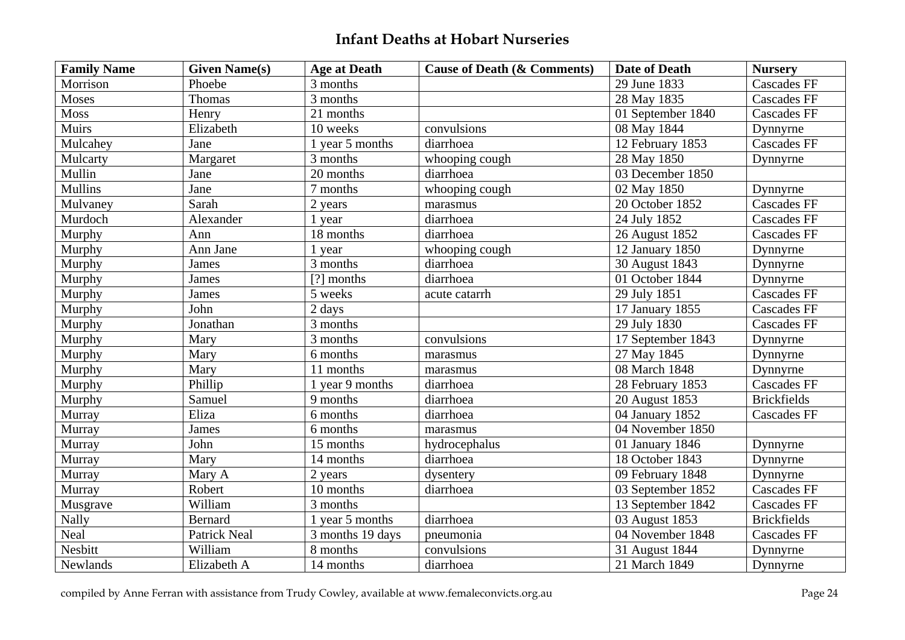| <b>Family Name</b> | <b>Given Name(s)</b> | <b>Age at Death</b> | <b>Cause of Death (&amp; Comments)</b> | <b>Date of Death</b> | <b>Nursery</b>     |
|--------------------|----------------------|---------------------|----------------------------------------|----------------------|--------------------|
| Morrison           | Phoebe               | 3 months            |                                        | 29 June 1833         | <b>Cascades FF</b> |
| Moses              | Thomas               | 3 months            |                                        | 28 May 1835          | <b>Cascades FF</b> |
| Moss               | Henry                | 21 months           |                                        | 01 September 1840    | <b>Cascades FF</b> |
| Muirs              | Elizabeth            | 10 weeks            | convulsions                            | 08 May 1844          | Dynnyrne           |
| Mulcahey           | Jane                 | 1 year 5 months     | diarrhoea                              | 12 February 1853     | <b>Cascades FF</b> |
| Mulcarty           | Margaret             | 3 months            | whooping cough                         | 28 May 1850          | Dynnyrne           |
| Mullin             | Jane                 | 20 months           | diarrhoea                              | 03 December 1850     |                    |
| <b>Mullins</b>     | Jane                 | 7 months            | whooping cough                         | 02 May 1850          | Dynnyrne           |
| Mulvaney           | Sarah                | 2 years             | marasmus                               | 20 October 1852      | <b>Cascades FF</b> |
| Murdoch            | Alexander            | 1 year              | diarrhoea                              | 24 July 1852         | <b>Cascades FF</b> |
| Murphy             | Ann                  | 18 months           | diarrhoea                              | 26 August 1852       | Cascades FF        |
| Murphy             | Ann Jane             | 1 year              | whooping cough                         | 12 January 1850      | Dynnyrne           |
| Murphy             | James                | $3$ months          | diarrhoea                              | 30 August 1843       | Dynnyrne           |
| Murphy             | James                | [?] months          | diarrhoea                              | 01 October 1844      | Dynnyrne           |
| Murphy             | James                | 5 weeks             | acute catarrh                          | 29 July 1851         | <b>Cascades FF</b> |
| Murphy             | John                 | 2 days              |                                        | 17 January 1855      | <b>Cascades FF</b> |
| Murphy             | Jonathan             | 3 months            |                                        | 29 July 1830         | <b>Cascades FF</b> |
| Murphy             | Mary                 | 3 months            | convulsions                            | 17 September 1843    | Dynnyrne           |
| Murphy             | Mary                 | 6 months            | marasmus                               | 27 May 1845          | Dynnyrne           |
| Murphy             | Mary                 | 11 months           | marasmus                               | 08 March 1848        | Dynnyrne           |
| Murphy             | Phillip              | 1 year 9 months     | diarrhoea                              | 28 February 1853     | <b>Cascades FF</b> |
| Murphy             | Samuel               | 9 months            | diarrhoea                              | 20 August 1853       | <b>Brickfields</b> |
| Murray             | Eliza                | 6 months            | diarrhoea                              | 04 January 1852      | <b>Cascades FF</b> |
| Murray             | James                | 6 months            | marasmus                               | 04 November 1850     |                    |
| Murray             | John                 | 15 months           | hydrocephalus                          | 01 January 1846      | Dynnyrne           |
| Murray             | Mary                 | 14 months           | diarrhoea                              | 18 October 1843      | Dynnyrne           |
| Murray             | Mary A               | 2 years             | dysentery                              | 09 February 1848     | Dynnyrne           |
| Murray             | Robert               | 10 months           | diarrhoea                              | 03 September 1852    | <b>Cascades FF</b> |
| Musgrave           | William              | 3 months            |                                        | 13 September 1842    | <b>Cascades FF</b> |
| Nally              | Bernard              | 1 year 5 months     | diarrhoea                              | 03 August 1853       | <b>Brickfields</b> |
| Neal               | Patrick Neal         | 3 months 19 days    | pneumonia                              | 04 November 1848     | <b>Cascades FF</b> |
| Nesbitt            | William              | 8 months            | convulsions                            | 31 August 1844       | Dynnyrne           |
| Newlands           | Elizabeth A          | 14 months           | diarrhoea                              | 21 March 1849        | Dynnyrne           |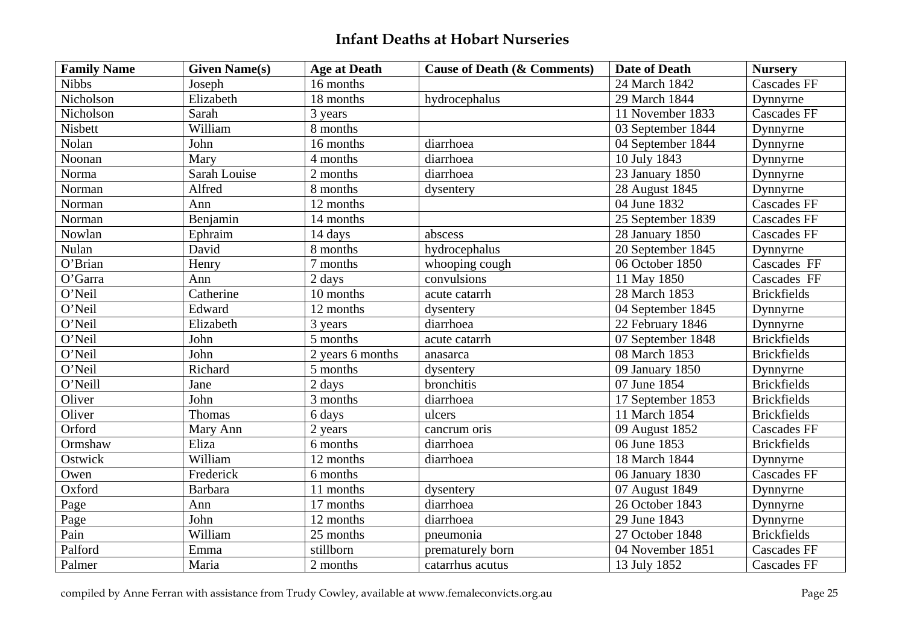| <b>Family Name</b>    | <b>Given Name(s)</b> | <b>Age at Death</b> | <b>Cause of Death (&amp; Comments)</b> | <b>Date of Death</b> | <b>Nursery</b>     |
|-----------------------|----------------------|---------------------|----------------------------------------|----------------------|--------------------|
| <b>Nibbs</b>          | Joseph               | 16 months           |                                        | 24 March 1842        | <b>Cascades FF</b> |
| Nicholson             | Elizabeth            | 18 months           | hydrocephalus                          | 29 March 1844        | Dynnyrne           |
| Nicholson             | Sarah                | 3 years             |                                        | 11 November 1833     | <b>Cascades FF</b> |
| Nisbett               | William              | 8 months            |                                        | 03 September 1844    | Dynnyrne           |
| Nolan                 | John                 | 16 months           | diarrhoea                              | 04 September 1844    | Dynnyrne           |
| Noonan                | Mary                 | 4 months            | diarrhoea                              | 10 July 1843         | Dynnyrne           |
| Norma                 | <b>Sarah Louise</b>  | 2 months            | diarrhoea                              | 23 January 1850      | Dynnyrne           |
| Norman                | Alfred               | 8 months            | dysentery                              | 28 August 1845       | Dynnyrne           |
| Norman                | Ann                  | 12 months           |                                        | 04 June 1832         | <b>Cascades FF</b> |
| Norman                | Benjamin             | 14 months           |                                        | 25 September 1839    | <b>Cascades FF</b> |
| Nowlan                | Ephraim              | 14 days             | abscess                                | 28 January 1850      | <b>Cascades FF</b> |
| Nulan                 | David                | 8 months            | hydrocephalus                          | 20 September 1845    | Dynnyrne           |
| $\overline{O'B}$ rian | Henry                | 7 months            | whooping cough                         | 06 October 1850      | Cascades FF        |
| O'Garra               | Ann                  | 2 days              | convulsions                            | 11 May 1850          | Cascades FF        |
| O'Neil                | Catherine            | 10 months           | acute catarrh                          | 28 March 1853        | <b>Brickfields</b> |
| O'Neil                | Edward               | 12 months           | dysentery                              | 04 September 1845    | Dynnyrne           |
| O'Neil                | Elizabeth            | 3 years             | diarrhoea                              | 22 February 1846     | Dynnyrne           |
| O'Neil                | John                 | 5 months            | acute catarrh                          | 07 September 1848    | <b>Brickfields</b> |
| O'Neil                | John                 | 2 years 6 months    | anasarca                               | 08 March 1853        | <b>Brickfields</b> |
| O'Neil                | Richard              | 5 months            | dysentery                              | 09 January 1850      | Dynnyrne           |
| O'Neill               | Jane                 | 2 days              | bronchitis                             | 07 June 1854         | <b>Brickfields</b> |
| Oliver                | John                 | 3 months            | diarrhoea                              | 17 September 1853    | <b>Brickfields</b> |
| Oliver                | Thomas               | 6 days              | ulcers                                 | 11 March 1854        | <b>Brickfields</b> |
| Orford                | Mary Ann             | 2 years             | cancrum oris                           | 09 August 1852       | <b>Cascades FF</b> |
| Ormshaw               | Eliza                | 6 months            | diarrhoea                              | 06 June 1853         | <b>Brickfields</b> |
| Ostwick               | William              | 12 months           | diarrhoea                              | 18 March 1844        | Dynnyrne           |
| Owen                  | Frederick            | 6 months            |                                        | 06 January 1830      | <b>Cascades FF</b> |
| Oxford                | <b>Barbara</b>       | 11 months           | dysentery                              | 07 August 1849       | Dynnyrne           |
| Page                  | Ann                  | 17 months           | diarrhoea                              | 26 October 1843      | Dynnyrne           |
| Page                  | John                 | 12 months           | diarrhoea                              | 29 June 1843         | Dynnyrne           |
| Pain                  | William              | 25 months           | pneumonia                              | 27 October 1848      | <b>Brickfields</b> |
| Palford               | Emma                 | stillborn           | prematurely born                       | 04 November 1851     | <b>Cascades FF</b> |
| Palmer                | Maria                | 2 months            | catarrhus acutus                       | 13 July 1852         | <b>Cascades FF</b> |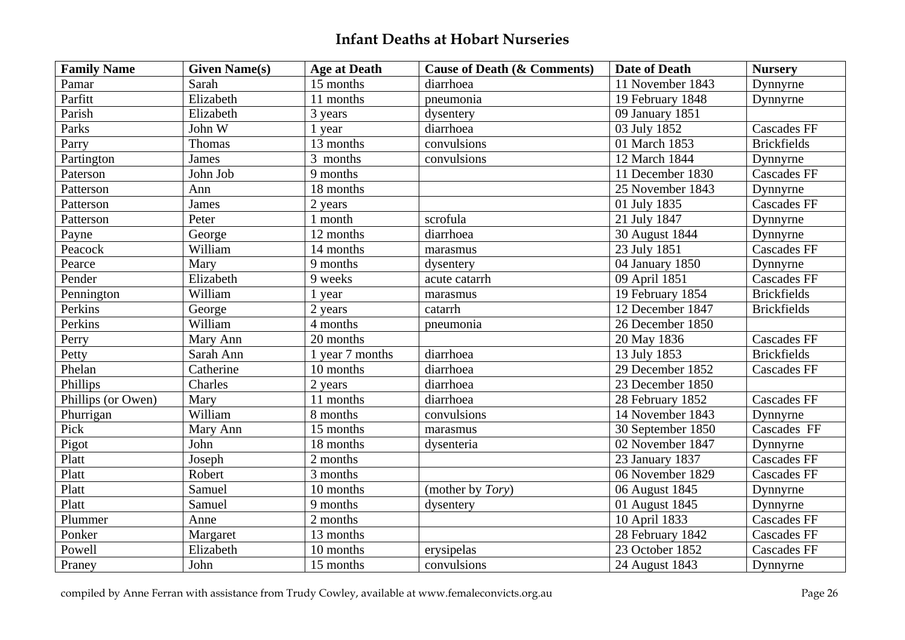| <b>Family Name</b> | <b>Given Name(s)</b> | <b>Age at Death</b> | <b>Cause of Death (&amp; Comments)</b> | <b>Date of Death</b> | <b>Nursery</b>     |
|--------------------|----------------------|---------------------|----------------------------------------|----------------------|--------------------|
| Pamar              | Sarah                | 15 months           | diarrhoea                              | 11 November 1843     | Dynnyrne           |
| Parfitt            | Elizabeth            | 11 months           | pneumonia                              | 19 February 1848     | Dynnyrne           |
| Parish             | Elizabeth            | 3 years             | dysentery                              | 09 January 1851      |                    |
| Parks              | John W               | 1 year              | diarrhoea                              | 03 July 1852         | <b>Cascades FF</b> |
| Parry              | Thomas               | 13 months           | convulsions                            | 01 March 1853        | <b>Brickfields</b> |
| Partington         | James                | 3 months            | convulsions                            | 12 March 1844        | Dynnyrne           |
| Paterson           | John Job             | 9 months            |                                        | 11 December 1830     | <b>Cascades FF</b> |
| Patterson          | Ann                  | 18 months           |                                        | 25 November 1843     | Dynnyrne           |
| Patterson          | James                | 2 years             |                                        | 01 July 1835         | <b>Cascades FF</b> |
| Patterson          | Peter                | 1 month             | scrofula                               | 21 July 1847         | Dynnyrne           |
| Payne              | George               | 12 months           | diarrhoea                              | 30 August 1844       | Dynnyrne           |
| Peacock            | William              | 14 months           | marasmus                               | 23 July 1851         | <b>Cascades FF</b> |
| Pearce             | Mary                 | 9 months            | dysentery                              | 04 January 1850      | Dynnyrne           |
| Pender             | Elizabeth            | 9 weeks             | acute catarrh                          | 09 April 1851        | <b>Cascades FF</b> |
| Pennington         | William              | 1 year              | marasmus                               | 19 February 1854     | <b>Brickfields</b> |
| Perkins            | George               | 2 years             | catarrh                                | 12 December 1847     | <b>Brickfields</b> |
| Perkins            | William              | 4 months            | pneumonia                              | 26 December 1850     |                    |
| Perry              | Mary Ann             | 20 months           |                                        | 20 May 1836          | <b>Cascades FF</b> |
| Petty              | Sarah Ann            | 1 year 7 months     | diarrhoea                              | 13 July 1853         | <b>Brickfields</b> |
| Phelan             | Catherine            | 10 months           | diarrhoea                              | 29 December 1852     | <b>Cascades FF</b> |
| Phillips           | Charles              | 2 years             | diarrhoea                              | 23 December 1850     |                    |
| Phillips (or Owen) | Mary                 | 11 months           | diarrhoea                              | 28 February 1852     | <b>Cascades FF</b> |
| Phurrigan          | William              | 8 months            | $\overline{\text{convulsions}}$        | 14 November 1843     | Dynnyrne           |
| Pick               | Mary Ann             | 15 months           | marasmus                               | 30 September 1850    | Cascades FF        |
| Pigot              | John                 | 18 months           | dysenteria                             | 02 November 1847     | Dynnyrne           |
| Platt              | Joseph               | 2 months            |                                        | 23 January 1837      | <b>Cascades FF</b> |
| Platt              | Robert               | 3 months            |                                        | 06 November 1829     | <b>Cascades FF</b> |
| Platt              | Samuel               | 10 months           | (mother by <i>Tory</i> )               | 06 August 1845       | Dynnyrne           |
| Platt              | Samuel               | 9 months            | dysentery                              | 01 August 1845       | Dynnyrne           |
| Plummer            | Anne                 | 2 months            |                                        | 10 April 1833        | <b>Cascades FF</b> |
| Ponker             | Margaret             | 13 months           |                                        | 28 February 1842     | <b>Cascades FF</b> |
| Powell             | Elizabeth            | 10 months           | erysipelas                             | 23 October 1852      | <b>Cascades FF</b> |
| Praney             | John                 | 15 months           | convulsions                            | 24 August 1843       | Dynnyrne           |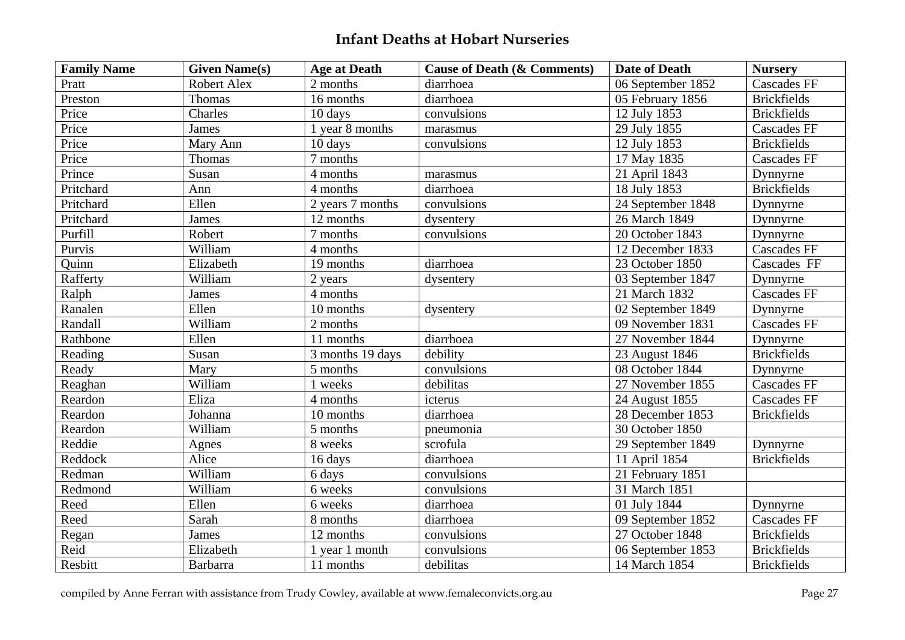| <b>Family Name</b> | <b>Given Name(s)</b> | <b>Age at Death</b> | <b>Cause of Death (&amp; Comments)</b> | <b>Date of Death</b> | <b>Nursery</b>     |
|--------------------|----------------------|---------------------|----------------------------------------|----------------------|--------------------|
| Pratt              | Robert Alex          | 2 months            | diarrhoea                              | 06 September 1852    | Cascades FF        |
| Preston            | Thomas               | 16 months           | diarrhoea                              | 05 February 1856     | <b>Brickfields</b> |
| Price              | Charles              | 10 days             | convulsions                            | 12 July 1853         | <b>Brickfields</b> |
| Price              | James                | 1 year 8 months     | marasmus                               | 29 July 1855         | <b>Cascades FF</b> |
| Price              | Mary Ann             | 10 days             | convulsions                            | 12 July 1853         | <b>Brickfields</b> |
| Price              | Thomas               | 7 months            |                                        | 17 May 1835          | <b>Cascades FF</b> |
| Prince             | Susan                | 4 months            | marasmus                               | 21 April 1843        | Dynnyrne           |
| Pritchard          | Ann                  | 4 months            | diarrhoea                              | 18 July 1853         | <b>Brickfields</b> |
| Pritchard          | Ellen                | 2 years 7 months    | convulsions                            | 24 September 1848    | Dynnyrne           |
| Pritchard          | <b>James</b>         | 12 months           | dysentery                              | 26 March 1849        | Dynnyrne           |
| Purfill            | Robert               | 7 months            | convulsions                            | 20 October 1843      | Dynnyrne           |
| Purvis             | William              | 4 months            |                                        | 12 December 1833     | <b>Cascades FF</b> |
| Quinn              | Elizabeth            | 19 months           | diarrhoea                              | 23 October 1850      | Cascades FF        |
| Rafferty           | William              | 2 years             | dysentery                              | 03 September 1847    | Dynnyrne           |
| Ralph              | James                | 4 months            |                                        | 21 March 1832        | <b>Cascades FF</b> |
| Ranalen            | Ellen                | 10 months           | dysentery                              | 02 September 1849    | Dynnyrne           |
| Randall            | William              | 2 months            |                                        | 09 November 1831     | <b>Cascades FF</b> |
| Rathbone           | Ellen                | 11 months           | diarrhoea                              | 27 November 1844     | Dynnyrne           |
| Reading            | Susan                | 3 months 19 days    | debility                               | 23 August 1846       | <b>Brickfields</b> |
| Ready              | Mary                 | 5 months            | convulsions                            | 08 October 1844      | Dynnyrne           |
| Reaghan            | William              | 1 weeks             | debilitas                              | 27 November 1855     | <b>Cascades FF</b> |
| Reardon            | Eliza                | 4 months            | icterus                                | 24 August 1855       | <b>Cascades FF</b> |
| Reardon            | Johanna              | 10 months           | diarrhoea                              | 28 December 1853     | <b>Brickfields</b> |
| Reardon            | William              | 5 months            | pneumonia                              | 30 October 1850      |                    |
| Reddie             | Agnes                | 8 weeks             | scrofula                               | 29 September 1849    | Dynnyrne           |
| Reddock            | Alice                | 16 days             | diarrhoea                              | 11 April 1854        | <b>Brickfields</b> |
| Redman             | William              | 6 days              | convulsions                            | 21 February 1851     |                    |
| Redmond            | William              | 6 weeks             | convulsions                            | 31 March 1851        |                    |
| Reed               | Ellen                | 6 weeks             | diarrhoea                              | 01 July 1844         | Dynnyrne           |
| Reed               | Sarah                | 8 months            | diarrhoea                              | 09 September 1852    | <b>Cascades FF</b> |
| Regan              | James                | 12 months           | convulsions                            | 27 October 1848      | <b>Brickfields</b> |
| Reid               | Elizabeth            | 1 year 1 month      | convulsions                            | 06 September 1853    | <b>Brickfields</b> |
| Resbitt            | <b>Barbarra</b>      | 11 months           | debilitas                              | 14 March 1854        | <b>Brickfields</b> |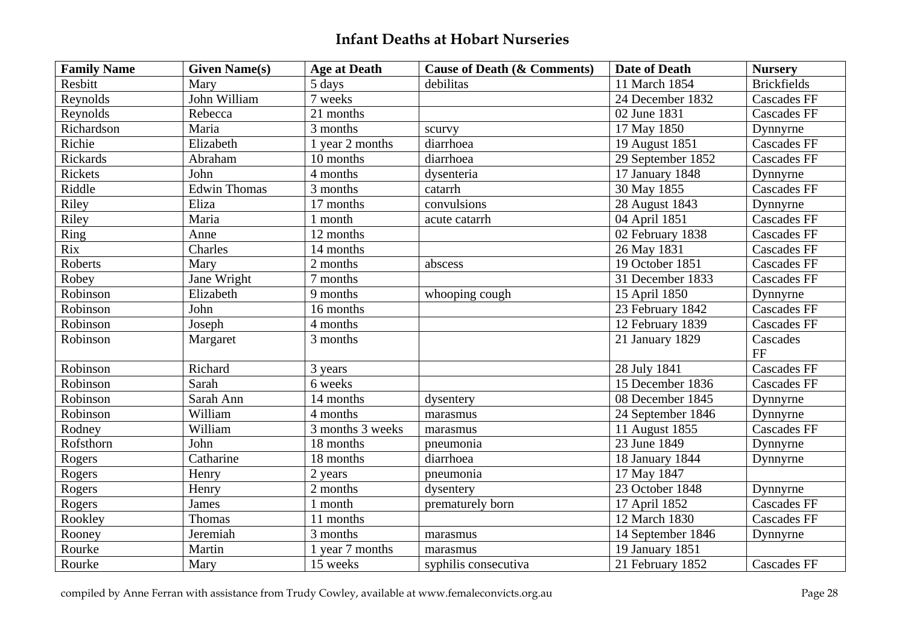| <b>Family Name</b> | <b>Given Name(s)</b> | <b>Age at Death</b> | <b>Cause of Death (&amp; Comments)</b> | <b>Date of Death</b> | <b>Nursery</b>        |
|--------------------|----------------------|---------------------|----------------------------------------|----------------------|-----------------------|
| Resbitt            | Mary                 | 5 days              | debilitas                              | 11 March 1854        | <b>Brickfields</b>    |
| Reynolds           | John William         | 7 weeks             |                                        | 24 December 1832     | <b>Cascades FF</b>    |
| Reynolds           | Rebecca              | 21 months           |                                        | 02 June 1831         | <b>Cascades FF</b>    |
| Richardson         | Maria                | 3 months            | scurvy                                 | 17 May 1850          | Dynnyrne              |
| Richie             | Elizabeth            | 1 year 2 months     | diarrhoea                              | 19 August 1851       | <b>Cascades FF</b>    |
| Rickards           | Abraham              | 10 months           | diarrhoea                              | 29 September 1852    | <b>Cascades FF</b>    |
| Rickets            | John                 | 4 months            | dysenteria                             | 17 January 1848      | Dynnyrne              |
| Riddle             | <b>Edwin Thomas</b>  | 3 months            | catarrh                                | 30 May 1855          | <b>Cascades FF</b>    |
| Riley              | Eliza                | 17 months           | convulsions                            | 28 August 1843       | Dynnyrne              |
| Riley              | Maria                | 1 month             | acute catarrh                          | 04 April 1851        | <b>Cascades FF</b>    |
| Ring               | Anne                 | 12 months           |                                        | 02 February 1838     | <b>Cascades FF</b>    |
| Rix                | Charles              | 14 months           |                                        | 26 May 1831          | <b>Cascades FF</b>    |
| Roberts            | Mary                 | 2 months            | abscess                                | 19 October 1851      | <b>Cascades FF</b>    |
| Robey              | Jane Wright          | 7 months            |                                        | 31 December 1833     | <b>Cascades FF</b>    |
| Robinson           | Elizabeth            | 9 months            | whooping cough                         | 15 April 1850        | Dynnyrne              |
| Robinson           | John                 | 16 months           |                                        | 23 February 1842     | <b>Cascades FF</b>    |
| Robinson           | Joseph               | 4 months            |                                        | 12 February 1839     | <b>Cascades FF</b>    |
| Robinson           | Margaret             | 3 months            |                                        | 21 January 1829      | Cascades<br><b>FF</b> |
| Robinson           | Richard              | 3 years             |                                        | 28 July 1841         | <b>Cascades FF</b>    |
| Robinson           | Sarah                | 6 weeks             |                                        | 15 December 1836     | <b>Cascades FF</b>    |
| Robinson           | Sarah Ann            | 14 months           | dysentery                              | 08 December 1845     | Dynnyrne              |
| Robinson           | William              | 4 months            | marasmus                               | 24 September 1846    | Dynnyrne              |
| Rodney             | William              | 3 months 3 weeks    | marasmus                               | 11 August 1855       | <b>Cascades FF</b>    |
| Rofsthorn          | John                 | 18 months           | pneumonia                              | 23 June 1849         | Dynnyrne              |
| Rogers             | Catharine            | 18 months           | diarrhoea                              | 18 January 1844      | Dynnyrne              |
| Rogers             | Henry                | 2 years             | pneumonia                              | 17 May 1847          |                       |
| Rogers             | Henry                | 2 months            | dysentery                              | 23 October 1848      | Dynnyrne              |
| Rogers             | James                | 1 month             | prematurely born                       | 17 April 1852        | <b>Cascades FF</b>    |
| Rookley            | Thomas               | 11 months           |                                        | 12 March 1830        | <b>Cascades FF</b>    |
| Rooney             | Jeremiah             | 3 months            | marasmus                               | 14 September 1846    | Dynnyrne              |
| Rourke             | Martin               | 1 year 7 months     | marasmus                               | 19 January 1851      |                       |
| Rourke             | Mary                 | 15 weeks            | syphilis consecutiva                   | 21 February 1852     | <b>Cascades FF</b>    |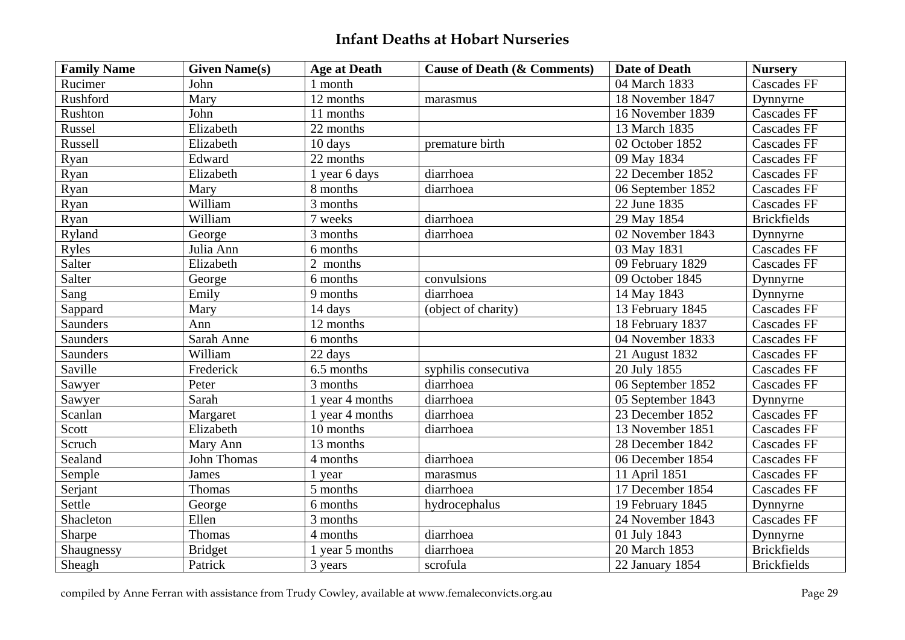| <b>Family Name</b> | <b>Given Name(s)</b> | <b>Age at Death</b> | <b>Cause of Death (&amp; Comments)</b> | <b>Date of Death</b> | <b>Nursery</b>     |
|--------------------|----------------------|---------------------|----------------------------------------|----------------------|--------------------|
| Rucimer            | John                 | 1 month             |                                        | 04 March 1833        | <b>Cascades FF</b> |
| Rushford           | Mary                 | 12 months           | marasmus                               | 18 November 1847     | Dynnyrne           |
| Rushton            | John                 | 11 months           |                                        | 16 November 1839     | <b>Cascades FF</b> |
| Russel             | Elizabeth            | 22 months           |                                        | 13 March 1835        | <b>Cascades FF</b> |
| Russell            | Elizabeth            | 10 days             | premature birth                        | 02 October 1852      | <b>Cascades FF</b> |
| Ryan               | Edward               | 22 months           |                                        | 09 May 1834          | <b>Cascades FF</b> |
| Ryan               | Elizabeth            | 1 year 6 days       | diarrhoea                              | 22 December 1852     | <b>Cascades FF</b> |
| Ryan               | Mary                 | 8 months            | diarrhoea                              | 06 September 1852    | <b>Cascades FF</b> |
| Ryan               | William              | 3 months            |                                        | 22 June 1835         | <b>Cascades FF</b> |
| Ryan               | William              | 7 weeks             | diarrhoea                              | 29 May 1854          | <b>Brickfields</b> |
| Ryland             | George               | 3 months            | diarrhoea                              | 02 November 1843     | Dynnyrne           |
| Ryles              | Julia Ann            | 6 months            |                                        | 03 May 1831          | <b>Cascades FF</b> |
| Salter             | Elizabeth            | 2 months            |                                        | 09 February 1829     | <b>Cascades FF</b> |
| Salter             | George               | 6 months            | convulsions                            | 09 October 1845      | Dynnyrne           |
| Sang               | Emily                | 9 months            | diarrhoea                              | 14 May 1843          | Dynnyrne           |
| Sappard            | Mary                 | 14 days             | (object of charity)                    | 13 February 1845     | <b>Cascades FF</b> |
| Saunders           | Ann                  | 12 months           |                                        | 18 February 1837     | <b>Cascades FF</b> |
| <b>Saunders</b>    | Sarah Anne           | 6 months            |                                        | 04 November 1833     | <b>Cascades FF</b> |
| Saunders           | William              | 22 days             |                                        | 21 August 1832       | <b>Cascades FF</b> |
| Saville            | Frederick            | 6.5 months          | syphilis consecutiva                   | 20 July 1855         | <b>Cascades FF</b> |
| Sawyer             | Peter                | 3 months            | diarrhoea                              | 06 September 1852    | <b>Cascades FF</b> |
| Sawyer             | Sarah                | 1 year 4 months     | diarrhoea                              | 05 September 1843    | Dynnyrne           |
| Scanlan            | Margaret             | 1 year 4 months     | diarrhoea                              | 23 December 1852     | <b>Cascades FF</b> |
| Scott              | Elizabeth            | 10 months           | diarrhoea                              | 13 November 1851     | Cascades FF        |
| Scruch             | Mary Ann             | 13 months           |                                        | 28 December 1842     | <b>Cascades FF</b> |
| Sealand            | <b>John Thomas</b>   | 4 months            | diarrhoea                              | 06 December 1854     | <b>Cascades FF</b> |
| Semple             | James                | 1 year              | marasmus                               | 11 April 1851        | <b>Cascades FF</b> |
| Serjant            | Thomas               | 5 months            | diarrhoea                              | 17 December 1854     | <b>Cascades FF</b> |
| Settle             | George               | 6 months            | hydrocephalus                          | 19 February 1845     | Dynnyrne           |
| Shacleton          | Ellen                | 3 months            |                                        | 24 November 1843     | <b>Cascades FF</b> |
| Sharpe             | Thomas               | 4 months            | diarrhoea                              | 01 July 1843         | Dynnyrne           |
| Shaugnessy         | <b>Bridget</b>       | 1 year 5 months     | diarrhoea                              | 20 March 1853        | <b>Brickfields</b> |
| Sheagh             | Patrick              | 3 years             | scrofula                               | 22 January 1854      | <b>Brickfields</b> |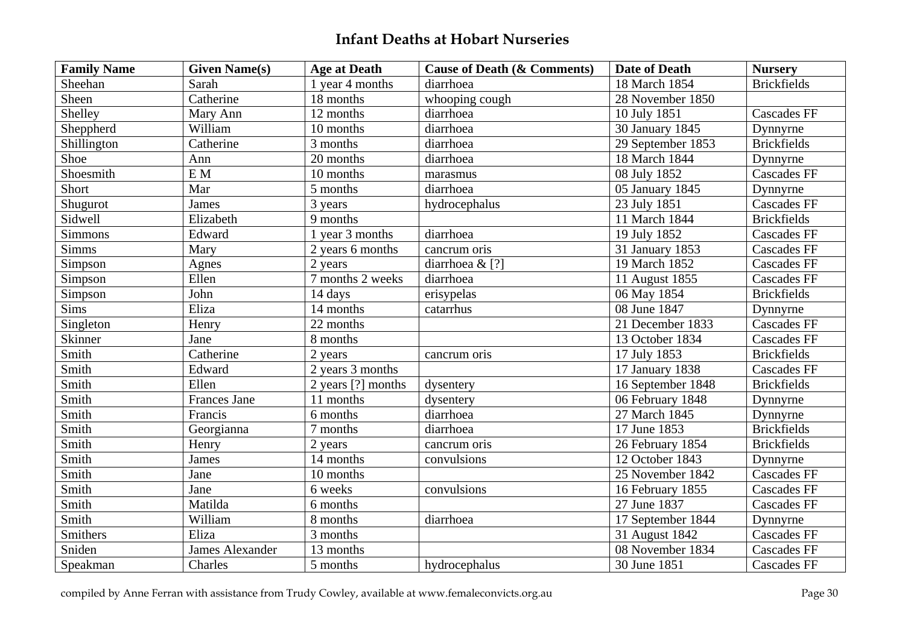| <b>Family Name</b> | <b>Given Name(s)</b>   | <b>Age at Death</b> | <b>Cause of Death (&amp; Comments)</b> | <b>Date of Death</b> | <b>Nursery</b>     |
|--------------------|------------------------|---------------------|----------------------------------------|----------------------|--------------------|
| Sheehan            | Sarah                  | 1 year 4 months     | diarrhoea                              | 18 March 1854        | <b>Brickfields</b> |
| Sheen              | Catherine              | 18 months           | whooping cough                         | 28 November 1850     |                    |
| Shelley            | Mary Ann               | 12 months           | diarrhoea                              | 10 July 1851         | <b>Cascades FF</b> |
| Sheppherd          | William                | 10 months           | diarrhoea                              | 30 January 1845      | Dynnyrne           |
| Shillington        | Catherine              | 3 months            | diarrhoea                              | 29 September 1853    | <b>Brickfields</b> |
| Shoe               | Ann                    | 20 months           | diarrhoea                              | 18 March 1844        | Dynnyrne           |
| Shoesmith          | E M                    | 10 months           | marasmus                               | 08 July 1852         | <b>Cascades FF</b> |
| Short              | Mar                    | 5 months            | diarrhoea                              | 05 January 1845      | Dynnyrne           |
| Shugurot           | <b>James</b>           | 3 years             | hydrocephalus                          | 23 July 1851         | <b>Cascades FF</b> |
| Sidwell            | Elizabeth              | 9 months            |                                        | 11 March 1844        | <b>Brickfields</b> |
| <b>Simmons</b>     | Edward                 | 1 year 3 months     | diarrhoea                              | 19 July 1852         | Cascades FF        |
| <b>Simms</b>       | Mary                   | 2 years 6 months    | cancrum oris                           | 31 January 1853      | <b>Cascades FF</b> |
| Simpson            | Agnes                  | 2 years             | diarrhoea & [?]                        | 19 March 1852        | <b>Cascades FF</b> |
| Simpson            | Ellen                  | 7 months 2 weeks    | diarrhoea                              | 11 August 1855       | <b>Cascades FF</b> |
| Simpson            | John                   | 14 days             | erisypelas                             | 06 May 1854          | <b>Brickfields</b> |
| Sims               | Eliza                  | 14 months           | catarrhus                              | 08 June 1847         | Dynnyrne           |
| Singleton          | Henry                  | 22 months           |                                        | 21 December 1833     | <b>Cascades FF</b> |
| Skinner            | Jane                   | 8 months            |                                        | 13 October 1834      | <b>Cascades FF</b> |
| Smith              | Catherine              | 2 years             | cancrum oris                           | 17 July 1853         | <b>Brickfields</b> |
| Smith              | Edward                 | 2 years 3 months    |                                        | 17 January 1838      | <b>Cascades FF</b> |
| Smith              | Ellen                  | 2 years [?] months  | dysentery                              | 16 September 1848    | <b>Brickfields</b> |
| Smith              | <b>Frances Jane</b>    | 11 months           | dysentery                              | 06 February 1848     | Dynnyrne           |
| Smith              | Francis                | 6 months            | diarrhoea                              | 27 March 1845        | Dynnyrne           |
| Smith              | Georgianna             | 7 months            | diarrhoea                              | 17 June 1853         | <b>Brickfields</b> |
| Smith              | Henry                  | 2 years             | cancrum oris                           | 26 February 1854     | <b>Brickfields</b> |
| Smith              | <b>James</b>           | 14 months           | convulsions                            | 12 October 1843      | Dynnyrne           |
| Smith              | Jane                   | 10 months           |                                        | 25 November 1842     | <b>Cascades FF</b> |
| Smith              | Jane                   | 6 weeks             | convulsions                            | 16 February 1855     | <b>Cascades FF</b> |
| Smith              | Matilda                | 6 months            |                                        | 27 June 1837         | <b>Cascades FF</b> |
| Smith              | William                | 8 months            | diarrhoea                              | 17 September 1844    | Dynnyrne           |
| Smithers           | Eliza                  | 3 months            |                                        | 31 August 1842       | <b>Cascades FF</b> |
| Sniden             | <b>James Alexander</b> | 13 months           |                                        | 08 November 1834     | <b>Cascades FF</b> |
| Speakman           | Charles                | 5 months            | hydrocephalus                          | 30 June 1851         | <b>Cascades FF</b> |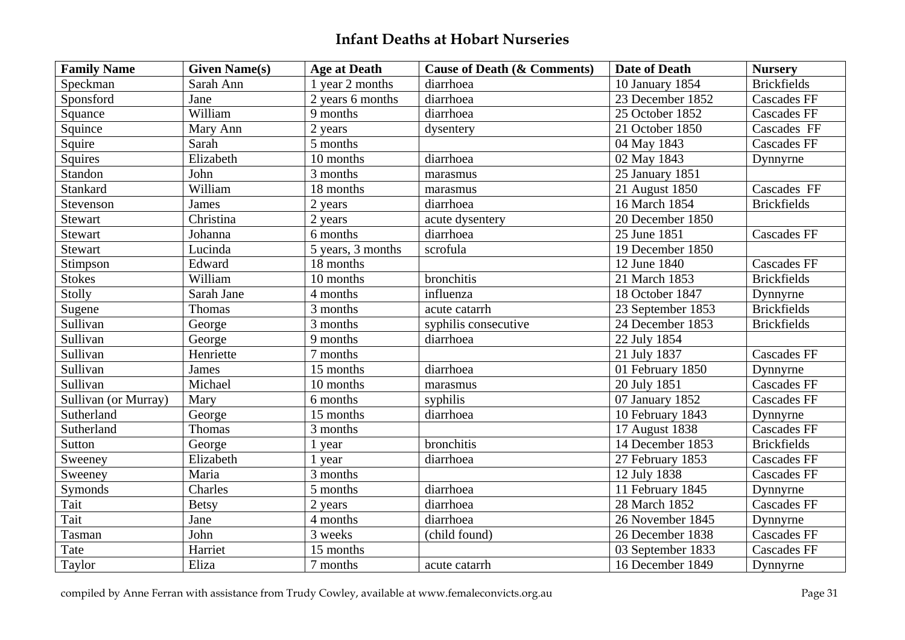| <b>Family Name</b>   | <b>Given Name(s)</b> | <b>Age at Death</b> | <b>Cause of Death (&amp; Comments)</b> | <b>Date of Death</b> | <b>Nursery</b>     |
|----------------------|----------------------|---------------------|----------------------------------------|----------------------|--------------------|
| Speckman             | Sarah Ann            | 1 year 2 months     | diarrhoea                              | 10 January 1854      | <b>Brickfields</b> |
| Sponsford            | Jane                 | 2 years 6 months    | diarrhoea                              | 23 December 1852     | <b>Cascades FF</b> |
| Squance              | William              | 9 months            | diarrhoea                              | 25 October 1852      | <b>Cascades FF</b> |
| Squince              | Mary Ann             | 2 years             | dysentery                              | 21 October 1850      | Cascades FF        |
| Squire               | Sarah                | 5 months            |                                        | 04 May 1843          | Cascades FF        |
| Squires              | Elizabeth            | 10 months           | diarrhoea                              | 02 May 1843          | Dynnyrne           |
| Standon              | John                 | 3 months            | marasmus                               | 25 January 1851      |                    |
| Stankard             | William              | 18 months           | marasmus                               | 21 August 1850       | Cascades FF        |
| Stevenson            | James                | 2 years             | diarrhoea                              | 16 March 1854        | <b>Brickfields</b> |
| Stewart              | Christina            | 2 years             | acute dysentery                        | 20 December 1850     |                    |
| Stewart              | Johanna              | 6 months            | diarrhoea                              | 25 June 1851         | <b>Cascades FF</b> |
| Stewart              | Lucinda              | 5 years, 3 months   | scrofula                               | 19 December 1850     |                    |
| Stimpson             | Edward               | 18 months           |                                        | 12 June 1840         | <b>Cascades FF</b> |
| <b>Stokes</b>        | William              | 10 months           | bronchitis                             | 21 March 1853        | <b>Brickfields</b> |
| Stolly               | Sarah Jane           | 4 months            | influenza                              | 18 October 1847      | Dynnyrne           |
| Sugene               | Thomas               | 3 months            | acute catarrh                          | 23 September 1853    | <b>Brickfields</b> |
| Sullivan             | George               | 3 months            | syphilis consecutive                   | 24 December 1853     | <b>Brickfields</b> |
| Sullivan             | George               | 9 months            | diarrhoea                              | 22 July 1854         |                    |
| Sullivan             | Henriette            | 7 months            |                                        | 21 July 1837         | <b>Cascades FF</b> |
| Sullivan             | James                | 15 months           | diarrhoea                              | 01 February 1850     | Dynnyrne           |
| Sullivan             | Michael              | 10 months           | marasmus                               | 20 July 1851         | <b>Cascades FF</b> |
| Sullivan (or Murray) | Mary                 | 6 months            | syphilis                               | 07 January 1852      | <b>Cascades FF</b> |
| Sutherland           | George               | 15 months           | diarrhoea                              | 10 February 1843     | Dynnyrne           |
| Sutherland           | Thomas               | 3 months            |                                        | 17 August 1838       | <b>Cascades FF</b> |
| Sutton               | George               | 1 year              | bronchitis                             | 14 December 1853     | <b>Brickfields</b> |
| Sweeney              | Elizabeth            | 1 year              | diarrhoea                              | 27 February 1853     | <b>Cascades FF</b> |
| Sweeney              | Maria                | 3 months            |                                        | 12 July 1838         | <b>Cascades FF</b> |
| Symonds              | Charles              | 5 months            | diarrhoea                              | 11 February 1845     | Dynnyrne           |
| Tait                 | <b>Betsy</b>         | 2 years             | diarrhoea                              | 28 March 1852        | <b>Cascades FF</b> |
| Tait                 | Jane                 | 4 months            | diarrhoea                              | 26 November 1845     | Dynnyrne           |
| Tasman               | John                 | 3 weeks             | (child found)                          | 26 December 1838     | <b>Cascades FF</b> |
| Tate                 | Harriet              | 15 months           |                                        | 03 September 1833    | <b>Cascades FF</b> |
| Taylor               | Eliza                | 7 months            | acute catarrh                          | 16 December 1849     | Dynnyrne           |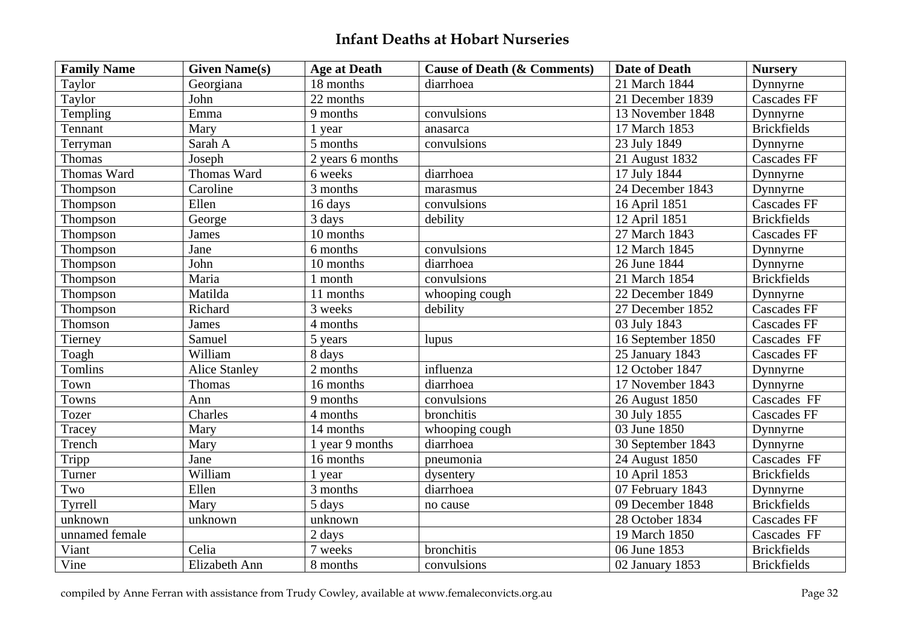| <b>Family Name</b> | <b>Given Name(s)</b> | <b>Age at Death</b> | <b>Cause of Death (&amp; Comments)</b> | <b>Date of Death</b> | <b>Nursery</b>     |
|--------------------|----------------------|---------------------|----------------------------------------|----------------------|--------------------|
| Taylor             | Georgiana            | 18 months           | diarrhoea                              | 21 March 1844        | Dynnyrne           |
| Taylor             | John                 | 22 months           |                                        | 21 December 1839     | <b>Cascades FF</b> |
| Templing           | Emma                 | 9 months            | convulsions                            | 13 November 1848     | Dynnyrne           |
| Tennant            | Mary                 | 1 year              | anasarca                               | 17 March 1853        | <b>Brickfields</b> |
| Terryman           | Sarah A              | 5 months            | convulsions                            | 23 July 1849         | Dynnyrne           |
| Thomas             | Joseph               | 2 years 6 months    |                                        | 21 August 1832       | <b>Cascades FF</b> |
| Thomas Ward        | Thomas Ward          | 6 weeks             | diarrhoea                              | 17 July 1844         | Dynnyrne           |
| Thompson           | Caroline             | 3 months            | marasmus                               | 24 December 1843     | Dynnyrne           |
| Thompson           | Ellen                | 16 days             | convulsions                            | 16 April 1851        | <b>Cascades FF</b> |
| Thompson           | George               | 3 days              | debility                               | 12 April 1851        | <b>Brickfields</b> |
| Thompson           | James                | 10 months           |                                        | 27 March 1843        | <b>Cascades FF</b> |
| Thompson           | Jane                 | 6 months            | convulsions                            | 12 March 1845        | Dynnyrne           |
| Thompson           | John                 | 10 months           | diarrhoea                              | 26 June 1844         | Dynnyrne           |
| Thompson           | Maria                | 1 month             | convulsions                            | 21 March 1854        | <b>Brickfields</b> |
| Thompson           | Matilda              | 11 months           | whooping cough                         | 22 December 1849     | Dynnyrne           |
| Thompson           | Richard              | 3 weeks             | debility                               | 27 December 1852     | <b>Cascades FF</b> |
| Thomson            | James                | 4 months            |                                        | 03 July 1843         | <b>Cascades FF</b> |
| Tierney            | Samuel               | 5 years             | lupus                                  | 16 September 1850    | Cascades FF        |
| Toagh              | William              | 8 days              |                                        | 25 January 1843      | <b>Cascades FF</b> |
| Tomlins            | <b>Alice Stanley</b> | $2$ months          | influenza                              | 12 October 1847      | Dynnyrne           |
| Town               | Thomas               | 16 months           | diarrhoea                              | 17 November 1843     | Dynnyrne           |
| <b>Towns</b>       | Ann                  | 9 months            | convulsions                            | 26 August 1850       | Cascades FF        |
| Tozer              | Charles              | 4 months            | bronchitis                             | 30 July 1855         | <b>Cascades FF</b> |
| Tracey             | Mary                 | 14 months           | whooping cough                         | 03 June 1850         | Dynnyrne           |
| Trench             | Mary                 | 1 year 9 months     | diarrhoea                              | 30 September 1843    | Dynnyrne           |
| Tripp              | Jane                 | 16 months           | pneumonia                              | 24 August 1850       | Cascades FF        |
| Turner             | William              | 1 year              | dysentery                              | 10 April 1853        | <b>Brickfields</b> |
| Two                | Ellen                | 3 months            | diarrhoea                              | 07 February 1843     | Dynnyrne           |
| Tyrrell            | Mary                 | 5 days              | no cause                               | 09 December 1848     | <b>Brickfields</b> |
| unknown            | unknown              | unknown             |                                        | 28 October 1834      | <b>Cascades FF</b> |
| unnamed female     |                      | 2 days              |                                        | 19 March 1850        | Cascades FF        |
| Viant              | Celia                | 7 weeks             | bronchitis                             | 06 June 1853         | <b>Brickfields</b> |
| Vine               | Elizabeth Ann        | 8 months            | convulsions                            | 02 January 1853      | <b>Brickfields</b> |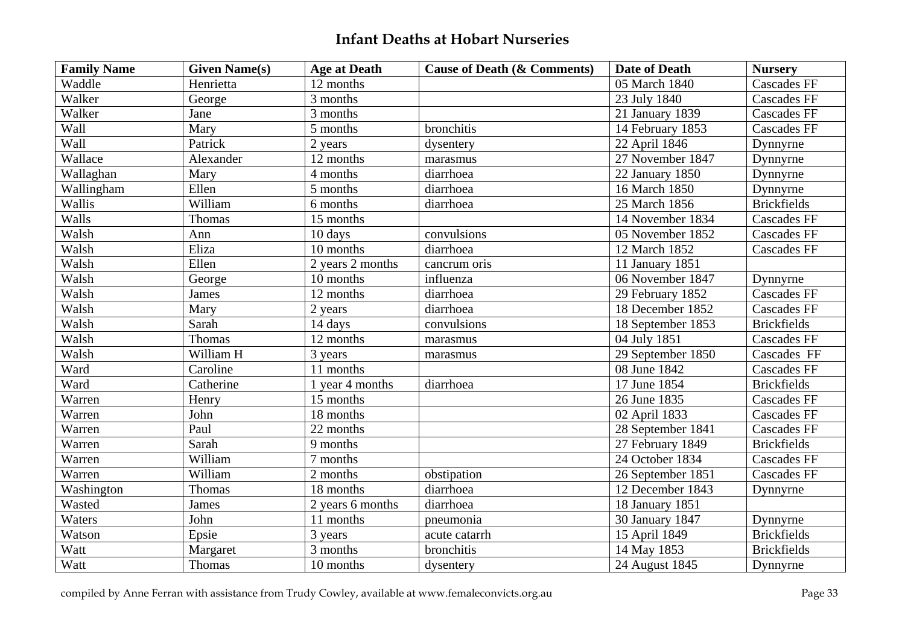| <b>Family Name</b> | <b>Given Name(s)</b> | <b>Age at Death</b>    | <b>Cause of Death (&amp; Comments)</b> | <b>Date of Death</b>         | <b>Nursery</b>     |
|--------------------|----------------------|------------------------|----------------------------------------|------------------------------|--------------------|
| Waddle             | Henrietta            | 12 months              |                                        | 05 March 1840                | <b>Cascades FF</b> |
| Walker             | George               | 3 months               |                                        | 23 July 1840                 | <b>Cascades FF</b> |
| Walker             | Jane                 | 3 months               |                                        | 21 January 1839              | <b>Cascades FF</b> |
| Wall               | Mary                 | 5 months               | bronchitis                             | 14 February 1853             | <b>Cascades FF</b> |
| Wall               | Patrick              | 2 years                | dysentery                              | 22 April 1846                | Dynnyrne           |
| Wallace            | Alexander            | 12 months              | marasmus                               | 27 November 1847             | Dynnyrne           |
| Wallaghan          | Mary                 | 4 months               | diarrhoea                              | 22 January 1850              | Dynnyrne           |
| Wallingham         | Ellen                | 5 months               | diarrhoea                              | 16 March 1850                | Dynnyrne           |
| Wallis             | William              | 6 months               | diarrhoea                              | 25 March 1856                | <b>Brickfields</b> |
| Walls              | Thomas               | 15 months              |                                        | 14 November 1834             | <b>Cascades FF</b> |
| Walsh              | Ann                  | 10 days                | convulsions                            | 05 November 1852             | <b>Cascades FF</b> |
| Walsh              | Eliza                | 10 months              | diarrhoea                              | 12 March 1852                | <b>Cascades FF</b> |
| Walsh              | Ellen                | 2 years 2 months       | cancrum oris                           | 11 January 1851              |                    |
| Walsh              | George               | 10 months              | influenza                              | 06 November 1847             | Dynnyrne           |
| Walsh              | James                | 12 months              | diarrhoea                              | 29 February 1852             | <b>Cascades FF</b> |
| Walsh              | Mary                 | 2 years                | diarrhoea                              | 18 December 1852             | <b>Cascades FF</b> |
| Walsh              | Sarah                | 14 days                | convulsions                            | 18 September 1853            | <b>Brickfields</b> |
| Walsh              | Thomas               | 12 months              | marasmus                               | 04 July 1851                 | <b>Cascades FF</b> |
| Walsh              | William H            | 3 years                | marasmus                               | 29 September 1850            | Cascades FF        |
| Ward               | Caroline             | 11 months              |                                        | 08 June 1842                 | <b>Cascades FF</b> |
| Ward               | Catherine            | 1 year 4 months        | diarrhoea                              | 17 June 1854                 | <b>Brickfields</b> |
| Warren             | Henry                | 15 months              |                                        | 26 June 1835                 | <b>Cascades FF</b> |
| Warren             | John                 | $\overline{18}$ months |                                        | 02 April 1833                | <b>Cascades FF</b> |
| Warren             | Paul                 | 22 months              |                                        | 28 September 1841            | <b>Cascades FF</b> |
| Warren             | Sarah                | 9 months               |                                        | 27 February 1849             | <b>Brickfields</b> |
| Warren             | William              | 7 months               |                                        | $\overline{24}$ October 1834 | <b>Cascades FF</b> |
| Warren             | William              | 2 months               | obstipation                            | 26 September 1851            | <b>Cascades FF</b> |
| Washington         | Thomas               | 18 months              | diarrhoea                              | 12 December 1843             | Dynnyrne           |
| Wasted             | James                | 2 years 6 months       | diarrhoea                              | 18 January 1851              |                    |
| Waters             | John                 | 11 months              | pneumonia                              | 30 January 1847              | Dynnyrne           |
| Watson             | Epsie                | 3 years                | acute catarrh                          | 15 April 1849                | <b>Brickfields</b> |
| Watt               | Margaret             | 3 months               | bronchitis                             | 14 May 1853                  | <b>Brickfields</b> |
| Watt               | Thomas               | 10 months              | dysentery                              | 24 August 1845               | Dynnyrne           |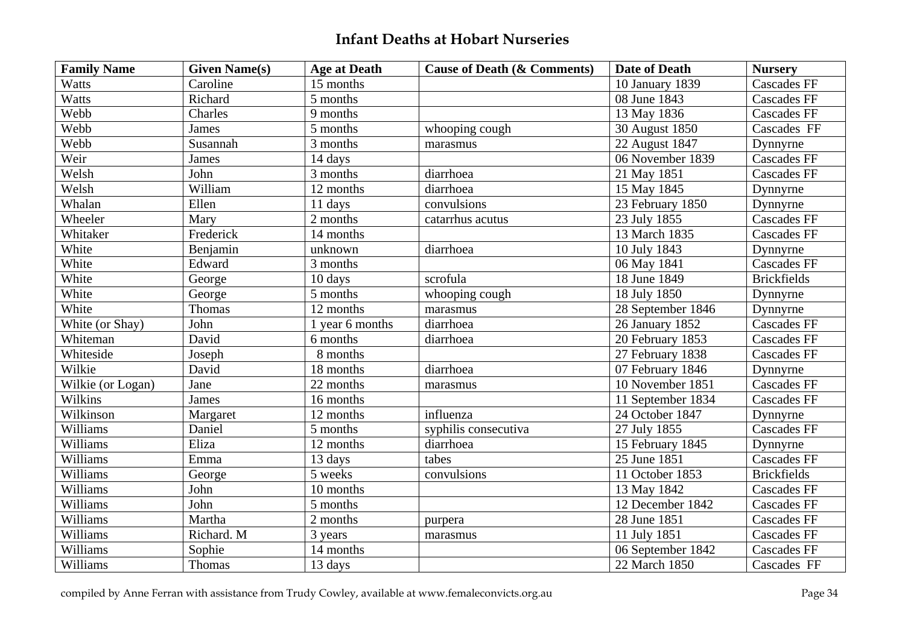| <b>Family Name</b> | <b>Given Name(s)</b> | <b>Age at Death</b> | <b>Cause of Death (&amp; Comments)</b> | <b>Date of Death</b> | <b>Nursery</b>     |
|--------------------|----------------------|---------------------|----------------------------------------|----------------------|--------------------|
| Watts              | Caroline             | 15 months           |                                        | 10 January 1839      | <b>Cascades FF</b> |
| Watts              | Richard              | 5 months            |                                        | 08 June 1843         | <b>Cascades FF</b> |
| Webb               | Charles              | 9 months            |                                        | 13 May 1836          | <b>Cascades FF</b> |
| Webb               | James                | 5 months            | whooping cough                         | 30 August 1850       | Cascades FF        |
| Webb               | Susannah             | 3 months            | marasmus                               | 22 August 1847       | Dynnyrne           |
| Weir               | James                | 14 days             |                                        | 06 November 1839     | <b>Cascades FF</b> |
| Welsh              | John                 | 3 months            | diarrhoea                              | 21 May 1851          | <b>Cascades FF</b> |
| Welsh              | William              | 12 months           | diarrhoea                              | 15 May 1845          | Dynnyrne           |
| Whalan             | Ellen                | 11 days             | convulsions                            | 23 February 1850     | Dynnyrne           |
| Wheeler            | Mary                 | 2 months            | catarrhus acutus                       | 23 July 1855         | <b>Cascades FF</b> |
| Whitaker           | Frederick            | 14 months           |                                        | 13 March 1835        | <b>Cascades FF</b> |
| White              | Benjamin             | unknown             | diarrhoea                              | 10 July 1843         | Dynnyrne           |
| White              | Edward               | 3 months            |                                        | 06 May 1841          | <b>Cascades FF</b> |
| White              | George               | 10 days             | scrofula                               | 18 June 1849         | <b>Brickfields</b> |
| White              | George               | 5 months            | whooping cough                         | 18 July 1850         | Dynnyrne           |
| White              | Thomas               | 12 months           | marasmus                               | 28 September 1846    | Dynnyrne           |
| White (or Shay)    | John                 | 1 year 6 months     | diarrhoea                              | 26 January 1852      | <b>Cascades FF</b> |
| Whiteman           | David                | 6 months            | diarrhoea                              | 20 February 1853     | <b>Cascades FF</b> |
| Whiteside          | Joseph               | 8 months            |                                        | 27 February 1838     | <b>Cascades FF</b> |
| Wilkie             | David                | 18 months           | diarrhoea                              | 07 February 1846     | Dynnyrne           |
| Wilkie (or Logan)  | Jane                 | 22 months           | $\,$ marasmus                          | 10 November 1851     | <b>Cascades FF</b> |
| Wilkins            | James                | 16 months           |                                        | 11 September 1834    | <b>Cascades FF</b> |
| Wilkinson          | Margaret             | 12 months           | influenza                              | 24 October 1847      | Dynnyrne           |
| Williams           | Daniel               | 5 months            | syphilis consecutiva                   | 27 July 1855         | <b>Cascades FF</b> |
| Williams           | Eliza                | 12 months           | diarrhoea                              | 15 February 1845     | Dynnyrne           |
| Williams           | Emma                 | 13 days             | tabes                                  | 25 June 1851         | <b>Cascades FF</b> |
| Williams           | George               | 5 weeks             | convulsions                            | 11 October 1853      | <b>Brickfields</b> |
| Williams           | John                 | 10 months           |                                        | 13 May 1842          | <b>Cascades FF</b> |
| Williams           | John                 | 5 months            |                                        | 12 December 1842     | Cascades FF        |
| Williams           | Martha               | 2 months            | purpera                                | 28 June 1851         | <b>Cascades FF</b> |
| Williams           | Richard. M           | 3 years             | marasmus                               | 11 July 1851         | <b>Cascades FF</b> |
| Williams           | Sophie               | 14 months           |                                        | 06 September 1842    | <b>Cascades FF</b> |
| Williams           | Thomas               | 13 days             |                                        | 22 March 1850        | Cascades FF        |